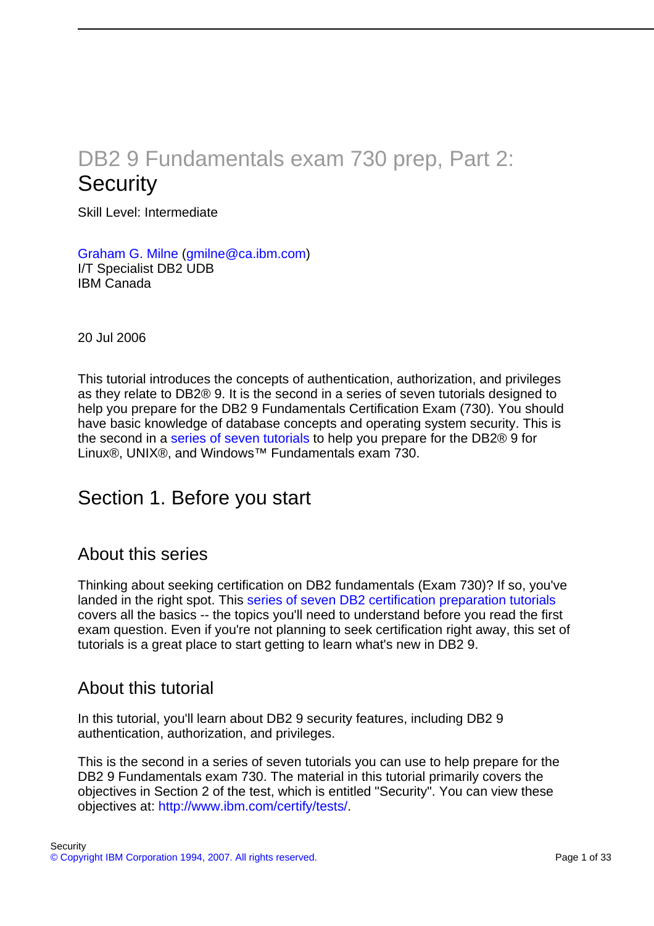# DB2 9 Fundamentals exam 730 prep, Part 2: **Security**

Skill Level: Intermediate

[Graham G. Milne](#page-32-0) ([gmilne@ca.ibm.com](mailto:gmilne@ca.ibm.com)) I/T Specialist DB2 UDB IBM Canada

20 Jul 2006

This tutorial introduces the concepts of authentication, authorization, and privileges as they relate to DB2® 9. It is the second in a series of seven tutorials designed to help you prepare for the DB2 9 Fundamentals Certification Exam (730). You should have basic knowledge of database concepts and operating system security. This is the second in a [series of seven tutorials](http://www.ibm.com/developerworks/offers/lp/db2cert/db2-cert730.html) to help you prepare for the DB2® 9 for Linux®, UNIX®, and Windows™ Fundamentals exam 730.

# Section 1. Before you start

## About this series

Thinking about seeking certification on DB2 fundamentals (Exam 730)? If so, you've landed in the right spot. This [series of seven DB2 certification preparation tutorials](http://www.ibm.com/developerworks/offers/lp/db2cert/db2-cert730.html) covers all the basics -- the topics you'll need to understand before you read the first exam question. Even if you're not planning to seek certification right away, this set of tutorials is a great place to start getting to learn what's new in DB2 9.

## About this tutorial

In this tutorial, you'll learn about DB2 9 security features, including DB2 9 authentication, authorization, and privileges.

This is the second in a series of seven tutorials you can use to help prepare for the DB2 9 Fundamentals exam 730. The material in this tutorial primarily covers the objectives in Section 2 of the test, which is entitled "Security". You can view these objectives at: [http://www.ibm.com/certify/tests/](http://www-03.ibm.com/certify/tests/obj730.shtml).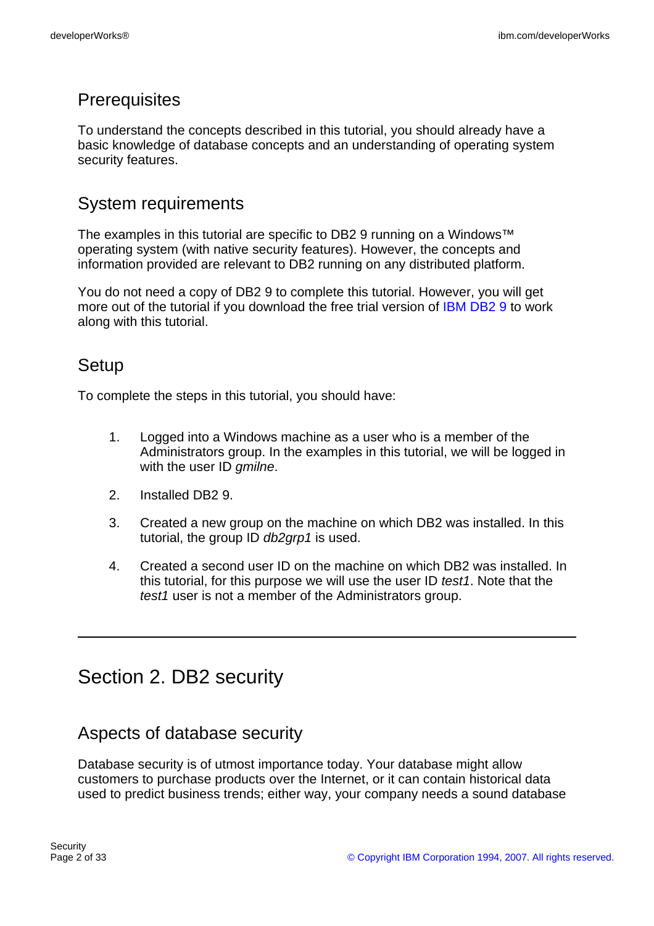# **Prerequisites**

To understand the concepts described in this tutorial, you should already have a basic knowledge of database concepts and an understanding of operating system security features.

# System requirements

The examples in this tutorial are specific to DB2 9 running on a Windows™ operating system (with native security features). However, the concepts and information provided are relevant to DB2 running on any distributed platform.

You do not need a copy of DB2 9 to complete this tutorial. However, you will get more out of the tutorial if you download the free trial version of [IBM DB2 9](http://www.ibm.com/developerworks/downloads/im/udb/) to work along with this tutorial.

# Setup

To complete the steps in this tutorial, you should have:

- 1. Logged into a Windows machine as a user who is a member of the Administrators group. In the examples in this tutorial, we will be logged in with the user ID *gmilne*.
- 2. Installed DB2 9.
- 3. Created a new group on the machine on which DB2 was installed. In this tutorial, the group ID db2grp1 is used.
- 4. Created a second user ID on the machine on which DB2 was installed. In this tutorial, for this purpose we will use the user ID test1. Note that the test1 user is not a member of the Administrators group.

# Section 2. DB2 security

# Aspects of database security

Database security is of utmost importance today. Your database might allow customers to purchase products over the Internet, or it can contain historical data used to predict business trends; either way, your company needs a sound database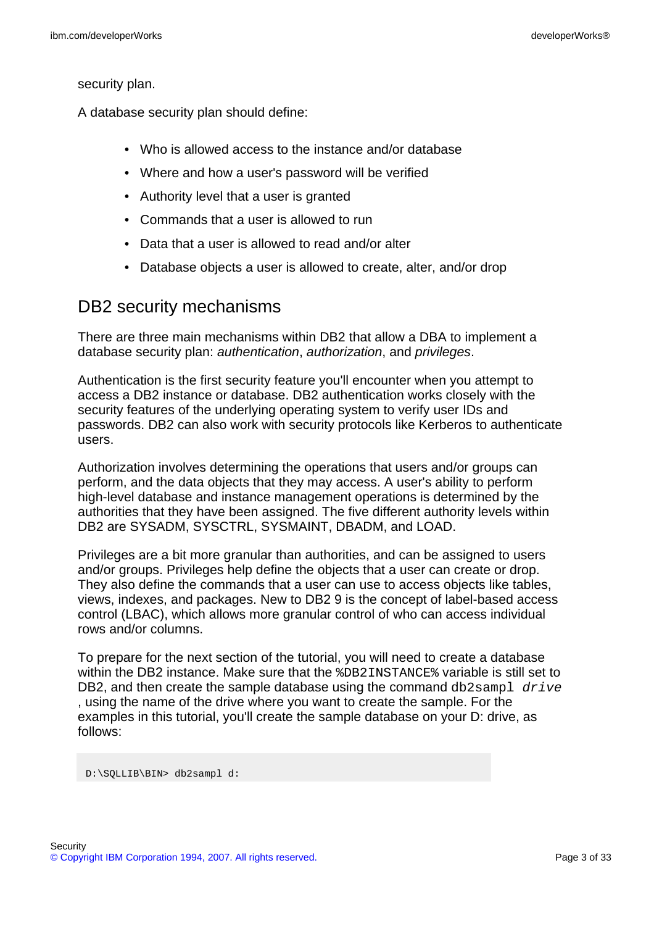security plan.

A database security plan should define:

- Who is allowed access to the instance and/or database
- Where and how a user's password will be verified
- Authority level that a user is granted
- Commands that a user is allowed to run
- Data that a user is allowed to read and/or alter
- Database objects a user is allowed to create, alter, and/or drop

## DB2 security mechanisms

There are three main mechanisms within DB2 that allow a DBA to implement a database security plan: authentication, authorization, and privileges.

Authentication is the first security feature you'll encounter when you attempt to access a DB2 instance or database. DB2 authentication works closely with the security features of the underlying operating system to verify user IDs and passwords. DB2 can also work with security protocols like Kerberos to authenticate users.

Authorization involves determining the operations that users and/or groups can perform, and the data objects that they may access. A user's ability to perform high-level database and instance management operations is determined by the authorities that they have been assigned. The five different authority levels within DB2 are SYSADM, SYSCTRL, SYSMAINT, DBADM, and LOAD.

Privileges are a bit more granular than authorities, and can be assigned to users and/or groups. Privileges help define the objects that a user can create or drop. They also define the commands that a user can use to access objects like tables, views, indexes, and packages. New to DB2 9 is the concept of label-based access control (LBAC), which allows more granular control of who can access individual rows and/or columns.

To prepare for the next section of the tutorial, you will need to create a database within the DB2 instance. Make sure that the %DB2INSTANCE% variable is still set to DB2, and then create the sample database using the command  $db2$ sampl  $drive$ , using the name of the drive where you want to create the sample. For the examples in this tutorial, you'll create the sample database on your D: drive, as follows:

<span id="page-2-0"></span>D:\SQLLIB\BIN> db2sampl d: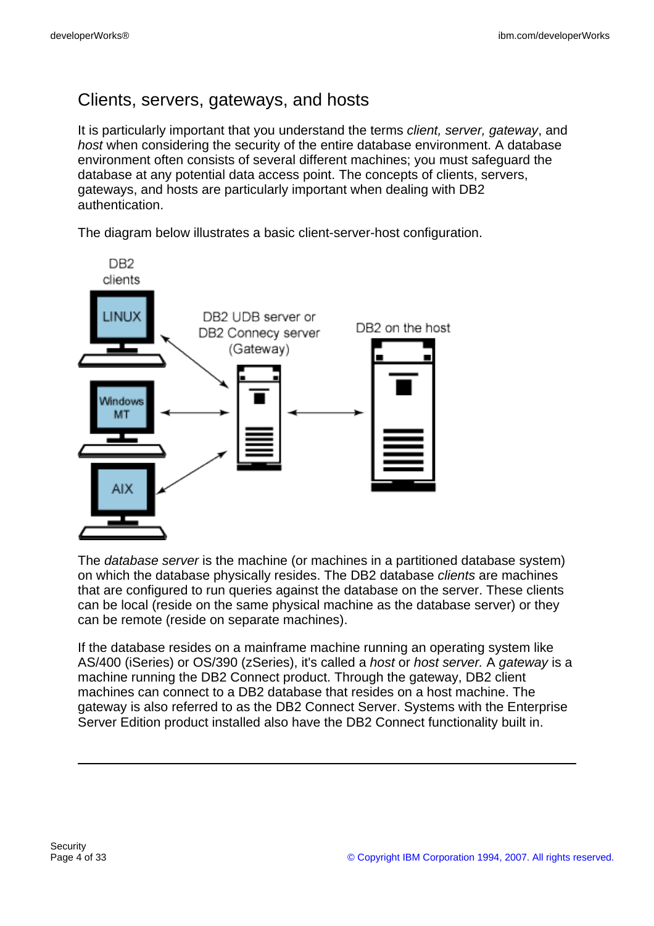# Clients, servers, gateways, and hosts

It is particularly important that you understand the terms *client, server, gateway*, and host when considering the security of the entire database environment. A database environment often consists of several different machines; you must safeguard the database at any potential data access point. The concepts of clients, servers, gateways, and hosts are particularly important when dealing with DB2 authentication.

The diagram below illustrates a basic client-server-host configuration.



The database server is the machine (or machines in a partitioned database system) on which the database physically resides. The DB2 database clients are machines that are configured to run queries against the database on the server. These clients can be local (reside on the same physical machine as the database server) or they can be remote (reside on separate machines).

If the database resides on a mainframe machine running an operating system like AS/400 (iSeries) or OS/390 (zSeries), it's called a host or host server. A gateway is a machine running the DB2 Connect product. Through the gateway, DB2 client machines can connect to a DB2 database that resides on a host machine. The gateway is also referred to as the DB2 Connect Server. Systems with the Enterprise Server Edition product installed also have the DB2 Connect functionality built in.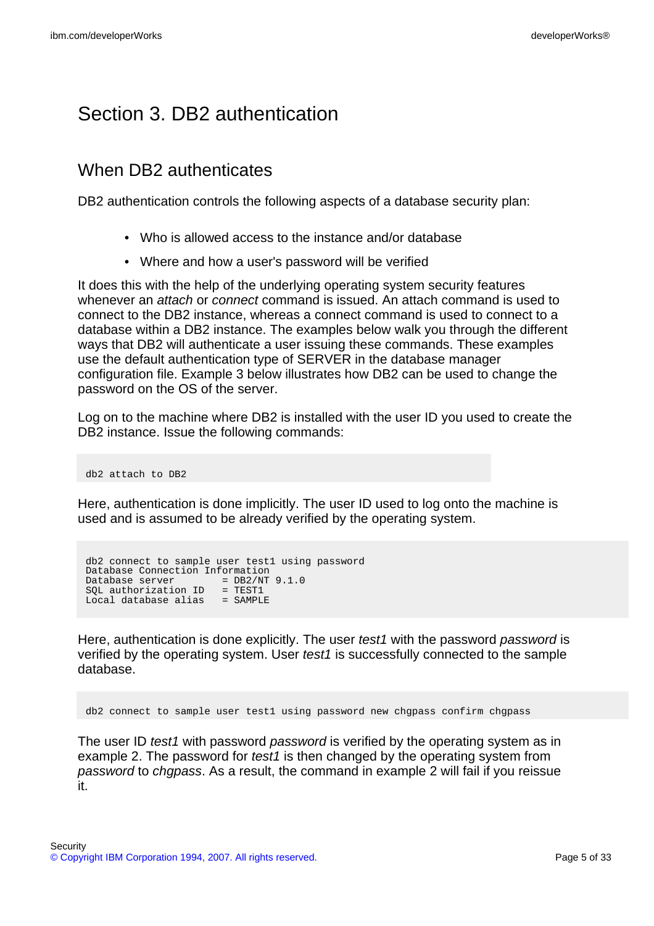# Section 3. DB2 authentication

# When DB2 authenticates

DB2 authentication controls the following aspects of a database security plan:

- Who is allowed access to the instance and/or database
- Where and how a user's password will be verified

It does this with the help of the underlying operating system security features whenever an *attach* or *connect* command is issued. An attach command is used to connect to the DB2 instance, whereas a connect command is used to connect to a database within a DB2 instance. The examples below walk you through the different ways that DB2 will authenticate a user issuing these commands. These examples use the default authentication type of SERVER in the database manager configuration file. Example 3 below illustrates how DB2 can be used to change the password on the OS of the server.

Log on to the machine where DB2 is installed with the user ID you used to create the DB2 instance. Issue the following commands:

db2 attach to DB2

Here, authentication is done implicitly. The user ID used to log onto the machine is used and is assumed to be already verified by the operating system.

db2 connect to sample user test1 using password Database Connection Information Database server  $= DB2/NT 9.1.0$ SQL authorization ID = TEST1 Local database alias = SAMPLE

Here, authentication is done explicitly. The user test1 with the password password is verified by the operating system. User test1 is successfully connected to the sample database.

db2 connect to sample user test1 using password new chgpass confirm chgpass

The user ID test1 with password password is verified by the operating system as in example 2. The password for *test1* is then changed by the operating system from password to chgpass. As a result, the command in example 2 will fail if you reissue it.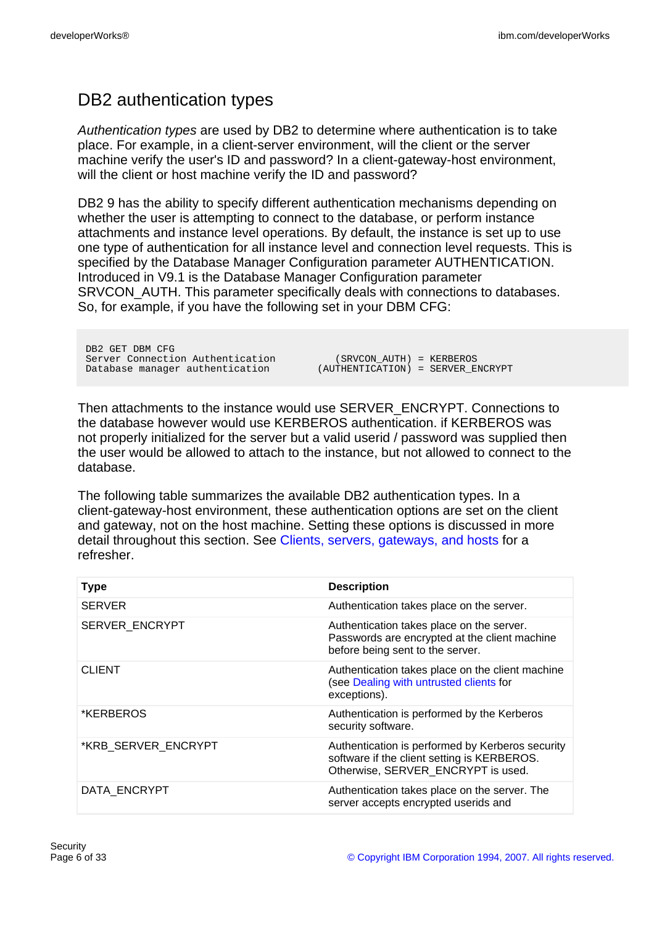# DB2 authentication types

Authentication types are used by DB2 to determine where authentication is to take place. For example, in a client-server environment, will the client or the server machine verify the user's ID and password? In a client-gateway-host environment, will the client or host machine verify the ID and password?

DB2 9 has the ability to specify different authentication mechanisms depending on whether the user is attempting to connect to the database, or perform instance attachments and instance level operations. By default, the instance is set up to use one type of authentication for all instance level and connection level requests. This is specified by the Database Manager Configuration parameter AUTHENTICATION. Introduced in V9.1 is the Database Manager Configuration parameter SRVCON AUTH. This parameter specifically deals with connections to databases. So, for example, if you have the following set in your DBM CFG:

DB2 GET DBM CFG<br>Server Connection Authentication Server Connection Authentication (SRVCON\_AUTH) = KERBEROS<br>Database manager authentication (AUTHENTICATION) = SERVER\_E

 $(AUTHENTICATION) = SERVER\_ENCRYPT$ 

Then attachments to the instance would use SERVER\_ENCRYPT. Connections to the database however would use KERBEROS authentication. if KERBEROS was not properly initialized for the server but a valid userid / password was supplied then the user would be allowed to attach to the instance, but not allowed to connect to the database.

The following table summarizes the available DB2 authentication types. In a client-gateway-host environment, these authentication options are set on the client and gateway, not on the host machine. Setting these options is discussed in more detail throughout this section. See [Clients, servers, gateways, and hosts](#page-2-0) for a refresher.

| <b>Type</b>         | <b>Description</b>                                                                                                                    |
|---------------------|---------------------------------------------------------------------------------------------------------------------------------------|
| <b>SERVER</b>       | Authentication takes place on the server.                                                                                             |
| SERVER_ENCRYPT      | Authentication takes place on the server.<br>Passwords are encrypted at the client machine<br>before being sent to the server.        |
| <b>CLIENT</b>       | Authentication takes place on the client machine<br>(see Dealing with untrusted clients for<br>exceptions).                           |
| *KERBEROS           | Authentication is performed by the Kerberos<br>security software.                                                                     |
| *KRB_SERVER_ENCRYPT | Authentication is performed by Kerberos security<br>software if the client setting is KERBEROS.<br>Otherwise, SERVER ENCRYPT is used. |
| DATA ENCRYPT        | Authentication takes place on the server. The<br>server accepts encrypted userids and                                                 |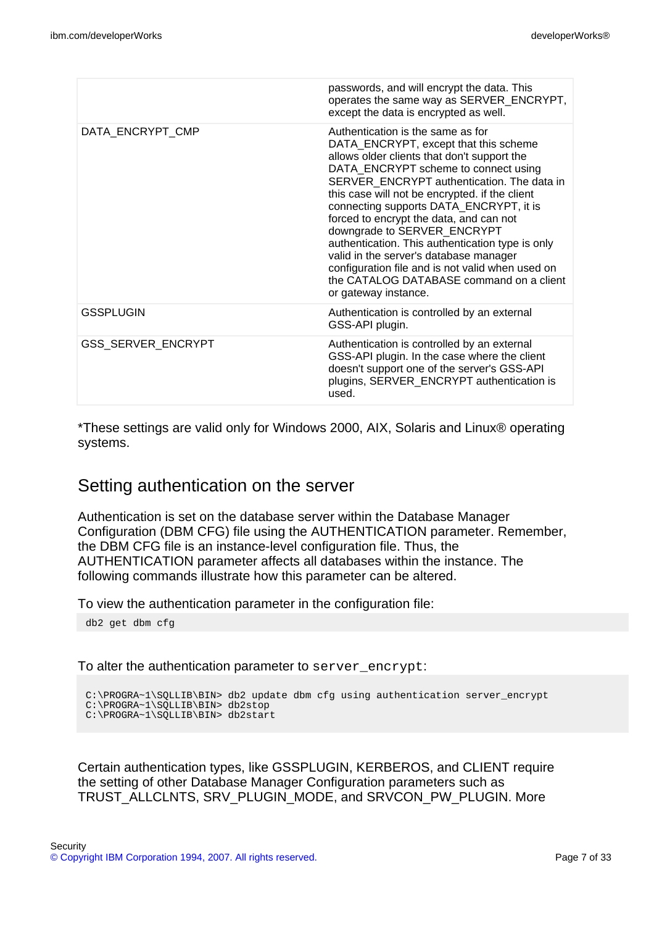|                    | passwords, and will encrypt the data. This<br>operates the same way as SERVER_ENCRYPT,<br>except the data is encrypted as well.                                                                                                                                                                                                                                                                                                                                                                                                                                                                              |
|--------------------|--------------------------------------------------------------------------------------------------------------------------------------------------------------------------------------------------------------------------------------------------------------------------------------------------------------------------------------------------------------------------------------------------------------------------------------------------------------------------------------------------------------------------------------------------------------------------------------------------------------|
| DATA_ENCRYPT_CMP   | Authentication is the same as for<br>DATA_ENCRYPT, except that this scheme<br>allows older clients that don't support the<br>DATA_ENCRYPT scheme to connect using<br>SERVER_ENCRYPT authentication. The data in<br>this case will not be encrypted. if the client<br>connecting supports DATA_ENCRYPT, it is<br>forced to encrypt the data, and can not<br>downgrade to SERVER_ENCRYPT<br>authentication. This authentication type is only<br>valid in the server's database manager<br>configuration file and is not valid when used on<br>the CATALOG DATABASE command on a client<br>or gateway instance. |
| GSSPLUGIN          | Authentication is controlled by an external<br>GSS-API plugin.                                                                                                                                                                                                                                                                                                                                                                                                                                                                                                                                               |
| GSS_SERVER_ENCRYPT | Authentication is controlled by an external<br>GSS-API plugin. In the case where the client<br>doesn't support one of the server's GSS-API<br>plugins, SERVER_ENCRYPT authentication is<br>used.                                                                                                                                                                                                                                                                                                                                                                                                             |

\*These settings are valid only for Windows 2000, AIX, Solaris and Linux® operating systems.

## Setting authentication on the server

Authentication is set on the database server within the Database Manager Configuration (DBM CFG) file using the AUTHENTICATION parameter. Remember, the DBM CFG file is an instance-level configuration file. Thus, the AUTHENTICATION parameter affects all databases within the instance. The following commands illustrate how this parameter can be altered.

To view the authentication parameter in the configuration file:

db2 get dbm cfg

#### To alter the authentication parameter to server\_encrypt:

```
C:\PROGRA~1\SQLLIB\BIN> db2 update dbm cfg using authentication server_encrypt
C:\PROGRA~1\SQLLIB\BIN> db2stop
C:\PROGRA~1\SQLLIB\BIN> db2start
```
Certain authentication types, like GSSPLUGIN, KERBEROS, and CLIENT require the setting of other Database Manager Configuration parameters such as TRUST\_ALLCLNTS, SRV\_PLUGIN\_MODE, and SRVCON\_PW\_PLUGIN. More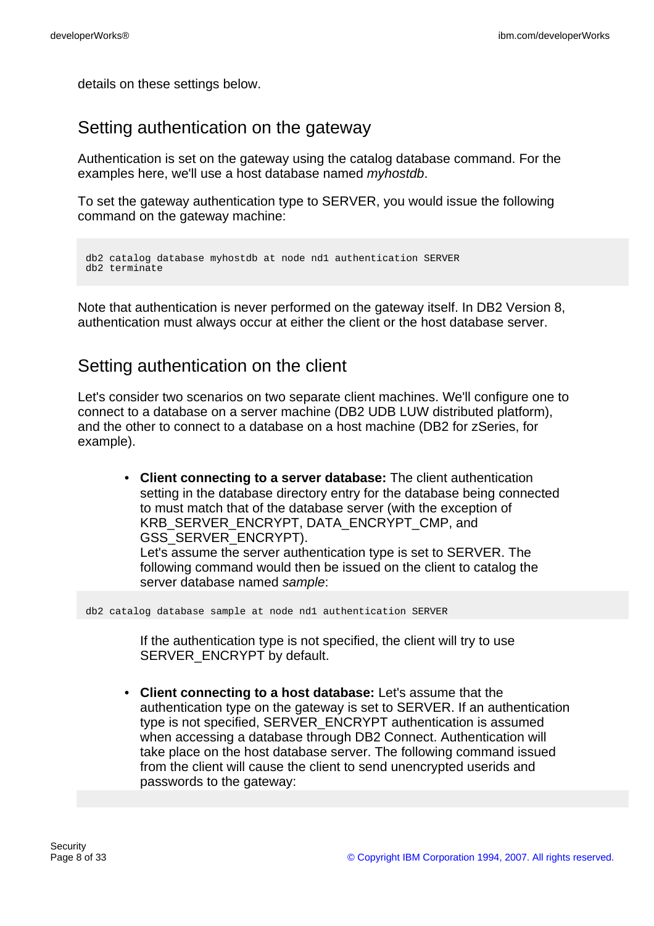details on these settings below.

# Setting authentication on the gateway

Authentication is set on the gateway using the catalog database command. For the examples here, we'll use a host database named myhostdb.

To set the gateway authentication type to SERVER, you would issue the following command on the gateway machine:

```
db2 catalog database myhostdb at node nd1 authentication SERVER
db2 terminate
```
Note that authentication is never performed on the gateway itself. In DB2 Version 8, authentication must always occur at either the client or the host database server.

# Setting authentication on the client

Let's consider two scenarios on two separate client machines. We'll configure one to connect to a database on a server machine (DB2 UDB LUW distributed platform), and the other to connect to a database on a host machine (DB2 for zSeries, for example).

• **Client connecting to a server database:** The client authentication setting in the database directory entry for the database being connected to must match that of the database server (with the exception of KRB\_SERVER\_ENCRYPT, DATA\_ENCRYPT\_CMP, and GSS\_SERVER\_ENCRYPT). Let's assume the server authentication type is set to SERVER. The following command would then be issued on the client to catalog the server database named sample:

db2 catalog database sample at node nd1 authentication SERVER

If the authentication type is not specified, the client will try to use SERVER\_ENCRYPT by default.

• **Client connecting to a host database:** Let's assume that the authentication type on the gateway is set to SERVER. If an authentication type is not specified, SERVER\_ENCRYPT authentication is assumed when accessing a database through DB2 Connect. Authentication will take place on the host database server. The following command issued from the client will cause the client to send unencrypted userids and passwords to the gateway: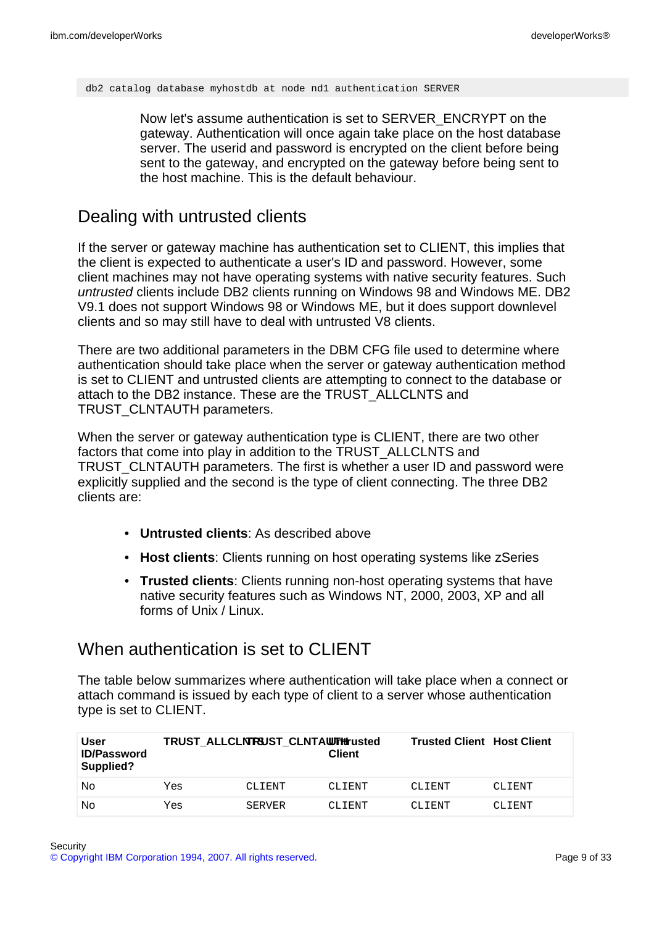db2 catalog database myhostdb at node nd1 authentication SERVER

Now let's assume authentication is set to SERVER\_ENCRYPT on the gateway. Authentication will once again take place on the host database server. The userid and password is encrypted on the client before being sent to the gateway, and encrypted on the gateway before being sent to the host machine. This is the default behaviour.

## <span id="page-8-0"></span>Dealing with untrusted clients

If the server or gateway machine has authentication set to CLIENT, this implies that the client is expected to authenticate a user's ID and password. However, some client machines may not have operating systems with native security features. Such untrusted clients include DB2 clients running on Windows 98 and Windows ME. DB2 V9.1 does not support Windows 98 or Windows ME, but it does support downlevel clients and so may still have to deal with untrusted V8 clients.

There are two additional parameters in the DBM CFG file used to determine where authentication should take place when the server or gateway authentication method is set to CLIENT and untrusted clients are attempting to connect to the database or attach to the DB2 instance. These are the TRUST\_ALLCLNTS and TRUST\_CLNTAUTH parameters.

When the server or gateway authentication type is CLIENT, there are two other factors that come into play in addition to the TRUST\_ALLCLNTS and TRUST\_CLNTAUTH parameters. The first is whether a user ID and password were explicitly supplied and the second is the type of client connecting. The three DB2 clients are:

- **Untrusted clients**: As described above
- **Host clients**: Clients running on host operating systems like zSeries
- **Trusted clients**: Clients running non-host operating systems that have native security features such as Windows NT, 2000, 2003, XP and all forms of Unix / Linux.

# When authentication is set to CLIENT

The table below summarizes where authentication will take place when a connect or attach command is issued by each type of client to a server whose authentication type is set to CLIENT.

| User<br><b>ID/Password</b><br>Supplied? |     | TRUST ALLCLNTSUST CLNTAWTHTusted | <b>Client</b> | <b>Trusted Client Host Client</b> |        |
|-----------------------------------------|-----|----------------------------------|---------------|-----------------------------------|--------|
| No                                      | Yes | CLIENT                           | CLTENT        | CLIENT                            | CLIENT |
| No                                      | Yes | <b>SERVER</b>                    | CLIENT        | CLIENT                            | CLTENT |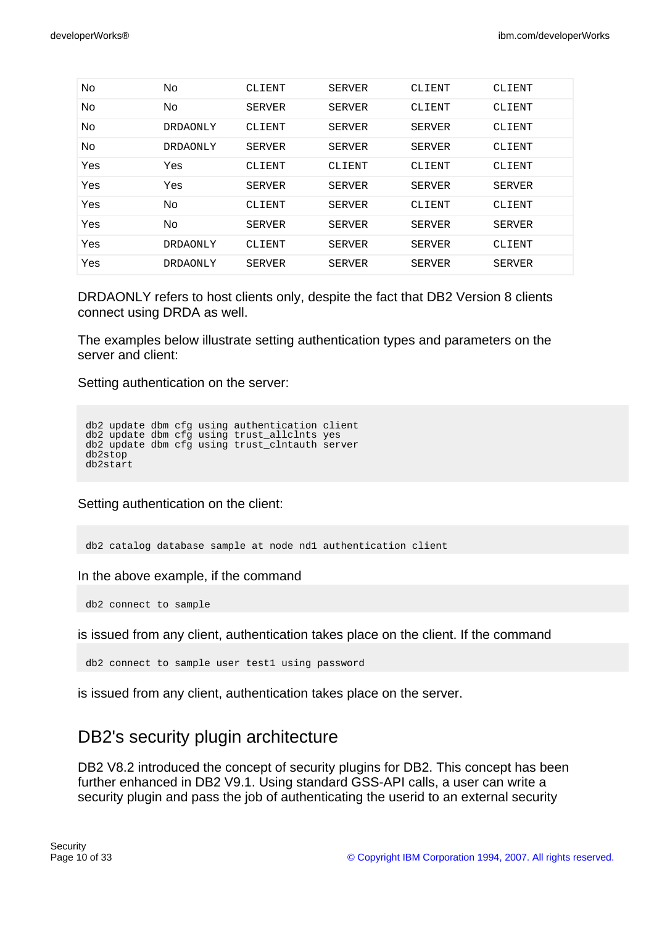| No. | No              | CLIENT        | SERVER        | CLIENT        | CLIENT        |
|-----|-----------------|---------------|---------------|---------------|---------------|
| No  | No              | <b>SERVER</b> | SERVER        | CLIENT        | CLIENT        |
| No  | DRDAONLY        | CLIENT        | SERVER        | <b>SERVER</b> | CLIENT        |
| No  | <b>DRDAONLY</b> | <b>SERVER</b> | <b>SERVER</b> | <b>SERVER</b> | CLIENT        |
| Yes | Yes             | CLIENT        | CLIENT        | CLIENT        | CLIENT        |
| Yes | Yes             | <b>SERVER</b> | <b>SERVER</b> | <b>SERVER</b> | <b>SERVER</b> |
| Yes | No              | CLIENT        | SERVER        | CLIENT        | CLIENT        |
| Yes | No              | <b>SERVER</b> | <b>SERVER</b> | <b>SERVER</b> | <b>SERVER</b> |
| Yes | <b>DRDAONLY</b> | CLIENT        | SERVER        | <b>SERVER</b> | CLIENT        |
| Yes | DRDAONLY        | <b>SERVER</b> | <b>SERVER</b> | <b>SERVER</b> | <b>SERVER</b> |

DRDAONLY refers to host clients only, despite the fact that DB2 Version 8 clients connect using DRDA as well.

The examples below illustrate setting authentication types and parameters on the server and client:

Setting authentication on the server:

```
db2 update dbm cfg using authentication client
db2 update dbm cfg using trust_allclnts yes
db2 update dbm cfg using trust_clntauth server
db2stop
db2start
```
Setting authentication on the client:

db2 catalog database sample at node nd1 authentication client

In the above example, if the command

db2 connect to sample

is issued from any client, authentication takes place on the client. If the command

db2 connect to sample user test1 using password

is issued from any client, authentication takes place on the server.

# DB2's security plugin architecture

DB2 V8.2 introduced the concept of security plugins for DB2. This concept has been further enhanced in DB2 V9.1. Using standard GSS-API calls, a user can write a security plugin and pass the job of authenticating the userid to an external security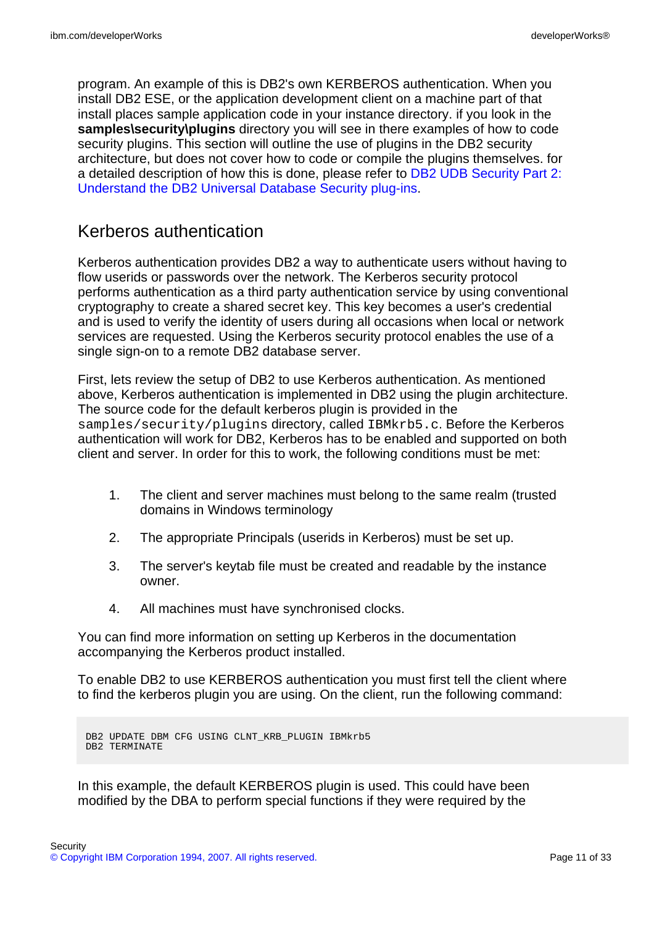program. An example of this is DB2's own KERBEROS authentication. When you install DB2 ESE, or the application development client on a machine part of that install places sample application code in your instance directory. if you look in the **samples\security\plugins** directory you will see in there examples of how to code security plugins. This section will outline the use of plugins in the DB2 security architecture, but does not cover how to code or compile the plugins themselves. for a detailed description of how this is done, please refer to [DB2 UDB Security Part 2:](http://www-128.ibm.com/developerworks/db2/library/techarticle/dm-0512chong/) [Understand the DB2 Universal Database Security plug-ins.](http://www-128.ibm.com/developerworks/db2/library/techarticle/dm-0512chong/)

## Kerberos authentication

Kerberos authentication provides DB2 a way to authenticate users without having to flow userids or passwords over the network. The Kerberos security protocol performs authentication as a third party authentication service by using conventional cryptography to create a shared secret key. This key becomes a user's credential and is used to verify the identity of users during all occasions when local or network services are requested. Using the Kerberos security protocol enables the use of a single sign-on to a remote DB2 database server.

First, lets review the setup of DB2 to use Kerberos authentication. As mentioned above, Kerberos authentication is implemented in DB2 using the plugin architecture. The source code for the default kerberos plugin is provided in the samples/security/plugins directory, called IBMkrb5.c. Before the Kerberos authentication will work for DB2, Kerberos has to be enabled and supported on both client and server. In order for this to work, the following conditions must be met:

- 1. The client and server machines must belong to the same realm (trusted domains in Windows terminology
- 2. The appropriate Principals (userids in Kerberos) must be set up.
- 3. The server's keytab file must be created and readable by the instance owner.
- 4. All machines must have synchronised clocks.

You can find more information on setting up Kerberos in the documentation accompanying the Kerberos product installed.

To enable DB2 to use KERBEROS authentication you must first tell the client where to find the kerberos plugin you are using. On the client, run the following command:

```
DB2 UPDATE DBM CFG USING CLNT_KRB_PLUGIN IBMkrb5
DB2 TERMINATE
```
In this example, the default KERBEROS plugin is used. This could have been modified by the DBA to perform special functions if they were required by the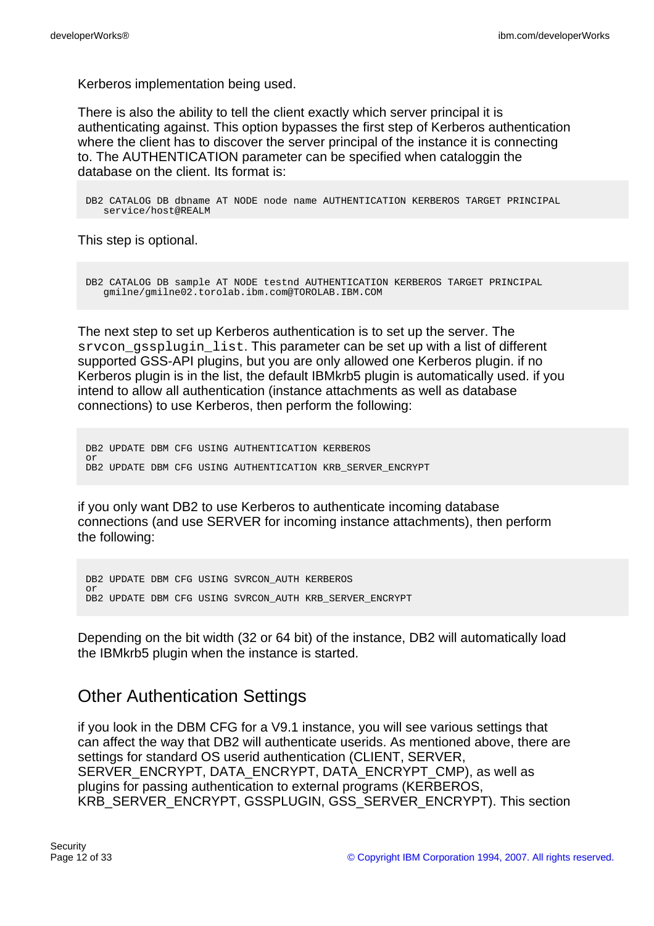Kerberos implementation being used.

There is also the ability to tell the client exactly which server principal it is authenticating against. This option bypasses the first step of Kerberos authentication where the client has to discover the server principal of the instance it is connecting to. The AUTHENTICATION parameter can be specified when cataloggin the database on the client. Its format is:

DB2 CATALOG DB dbname AT NODE node name AUTHENTICATION KERBEROS TARGET PRINCIPAL service/host@REALM

This step is optional.

DB2 CATALOG DB sample AT NODE testnd AUTHENTICATION KERBEROS TARGET PRINCIPAL gmilne/gmilne02.torolab.ibm.com@TOROLAB.IBM.COM

The next step to set up Kerberos authentication is to set up the server. The srvcon\_gssplugin\_list. This parameter can be set up with a list of different supported GSS-API plugins, but you are only allowed one Kerberos plugin. if no Kerberos plugin is in the list, the default IBMkrb5 plugin is automatically used. if you intend to allow all authentication (instance attachments as well as database connections) to use Kerberos, then perform the following:

DB2 UPDATE DBM CFG USING AUTHENTICATION KERBEROS or DB2 UPDATE DBM CFG USING AUTHENTICATION KRB\_SERVER\_ENCRYPT

if you only want DB2 to use Kerberos to authenticate incoming database connections (and use SERVER for incoming instance attachments), then perform the following:

DB2 UPDATE DBM CFG USING SVRCON\_AUTH KERBEROS or DB2 UPDATE DBM CFG USING SVRCON\_AUTH KRB\_SERVER\_ENCRYPT

Depending on the bit width (32 or 64 bit) of the instance, DB2 will automatically load the IBMkrb5 plugin when the instance is started.

# Other Authentication Settings

if you look in the DBM CFG for a V9.1 instance, you will see various settings that can affect the way that DB2 will authenticate userids. As mentioned above, there are settings for standard OS userid authentication (CLIENT, SERVER, SERVER\_ENCRYPT, DATA\_ENCRYPT, DATA\_ENCRYPT\_CMP), as well as plugins for passing authentication to external programs (KERBEROS, KRB\_SERVER\_ENCRYPT, GSSPLUGIN, GSS\_SERVER\_ENCRYPT). This section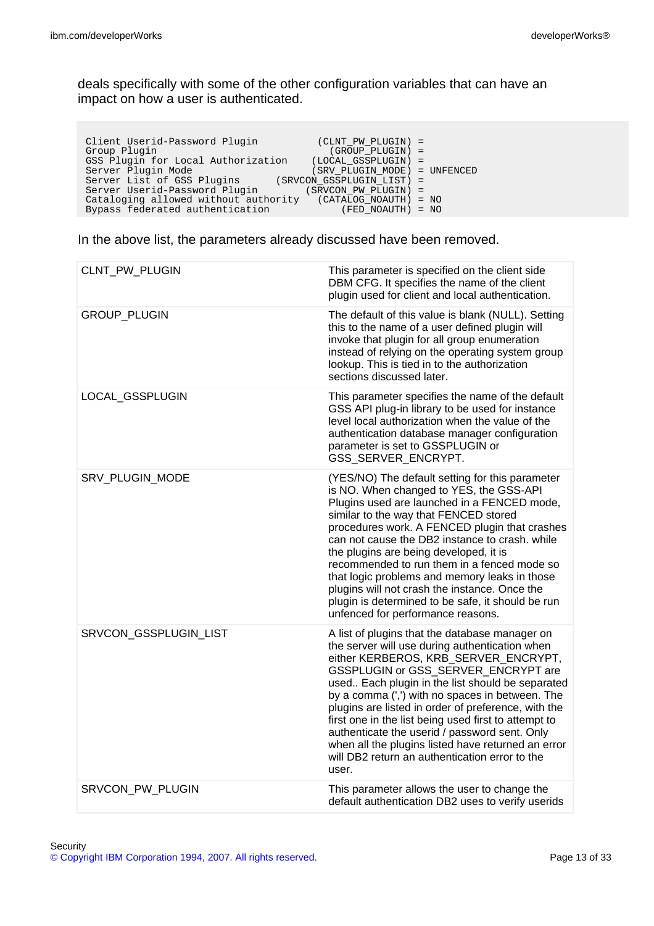deals specifically with some of the other configuration variables that can have an impact on how a user is authenticated.

| Client Userid-Password Plugin<br>$(CLNT PW PLUGIN) =$<br>(GROUP PLUGIN) =<br>Group Plugin<br>GSS Plugin for Local Authorization<br>(LOCAL GSSPLUGIN) =<br>Server Plugin Mode<br>(SRV PLUGIN MODE) = UNFENCED<br>Server List of GSS Plugins<br>(SRVCON GSSPLUGIN LIST) =<br>Server Userid-Password Plugin<br>(SRVCON PW PLUGIN) =<br>Cataloging allowed without authority (CATALOG_NOAUTH) = NO |  |
|------------------------------------------------------------------------------------------------------------------------------------------------------------------------------------------------------------------------------------------------------------------------------------------------------------------------------------------------------------------------------------------------|--|
| Bypass federated authentication<br>(FED NOAUTH) = NO                                                                                                                                                                                                                                                                                                                                           |  |

In the above list, the parameters already discussed have been removed.

| CLNT_PW_PLUGIN        | This parameter is specified on the client side<br>DBM CFG. It specifies the name of the client<br>plugin used for client and local authentication.                                                                                                                                                                                                                                                                                                                                                                                                                         |
|-----------------------|----------------------------------------------------------------------------------------------------------------------------------------------------------------------------------------------------------------------------------------------------------------------------------------------------------------------------------------------------------------------------------------------------------------------------------------------------------------------------------------------------------------------------------------------------------------------------|
| <b>GROUP_PLUGIN</b>   | The default of this value is blank (NULL). Setting<br>this to the name of a user defined plugin will<br>invoke that plugin for all group enumeration<br>instead of relying on the operating system group<br>lookup. This is tied in to the authorization<br>sections discussed later.                                                                                                                                                                                                                                                                                      |
| LOCAL_GSSPLUGIN       | This parameter specifies the name of the default<br>GSS API plug-in library to be used for instance<br>level local authorization when the value of the<br>authentication database manager configuration<br>parameter is set to GSSPLUGIN or<br>GSS_SERVER_ENCRYPT.                                                                                                                                                                                                                                                                                                         |
| SRV_PLUGIN_MODE       | (YES/NO) The default setting for this parameter<br>is NO. When changed to YES, the GSS-API<br>Plugins used are launched in a FENCED mode,<br>similar to the way that FENCED stored<br>procedures work. A FENCED plugin that crashes<br>can not cause the DB2 instance to crash, while<br>the plugins are being developed, it is<br>recommended to run them in a fenced mode so<br>that logic problems and memory leaks in those<br>plugins will not crash the instance. Once the<br>plugin is determined to be safe, it should be run<br>unfenced for performance reasons. |
| SRVCON_GSSPLUGIN_LIST | A list of plugins that the database manager on<br>the server will use during authentication when<br>either KERBEROS, KRB_SERVER_ENCRYPT,<br>GSSPLUGIN or GSS_SERVER_ENCRYPT are<br>used Each plugin in the list should be separated<br>by a comma (',') with no spaces in between. The<br>plugins are listed in order of preference, with the<br>first one in the list being used first to attempt to<br>authenticate the userid / password sent. Only<br>when all the plugins listed have returned an error<br>will DB2 return an authentication error to the<br>user.    |
| SRVCON PW PLUGIN      | This parameter allows the user to change the<br>default authentication DB2 uses to verify userids                                                                                                                                                                                                                                                                                                                                                                                                                                                                          |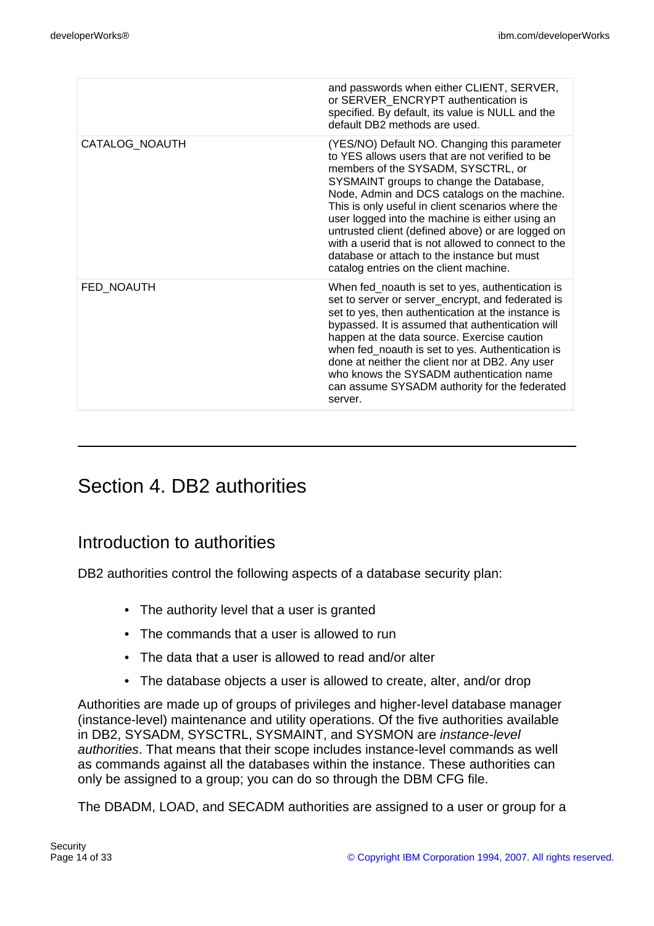|                | and passwords when either CLIENT, SERVER,<br>or SERVER ENCRYPT authentication is<br>specified. By default, its value is NULL and the<br>default DB2 methods are used.                                                                                                                                                                                                                                                                                                                                                                         |
|----------------|-----------------------------------------------------------------------------------------------------------------------------------------------------------------------------------------------------------------------------------------------------------------------------------------------------------------------------------------------------------------------------------------------------------------------------------------------------------------------------------------------------------------------------------------------|
| CATALOG NOAUTH | (YES/NO) Default NO. Changing this parameter<br>to YES allows users that are not verified to be<br>members of the SYSADM, SYSCTRL, or<br>SYSMAINT groups to change the Database,<br>Node, Admin and DCS catalogs on the machine.<br>This is only useful in client scenarios where the<br>user logged into the machine is either using an<br>untrusted client (defined above) or are logged on<br>with a userid that is not allowed to connect to the<br>database or attach to the instance but must<br>catalog entries on the client machine. |
| FED NOAUTH     | When fed_noauth is set to yes, authentication is<br>set to server or server_encrypt, and federated is<br>set to yes, then authentication at the instance is<br>bypassed. It is assumed that authentication will<br>happen at the data source. Exercise caution<br>when fed_noauth is set to yes. Authentication is<br>done at neither the client nor at DB2. Any user<br>who knows the SYSADM authentication name<br>can assume SYSADM authority for the federated<br>server.                                                                 |

# Section 4. DB2 authorities

# Introduction to authorities

DB2 authorities control the following aspects of a database security plan:

- The authority level that a user is granted
- The commands that a user is allowed to run
- The data that a user is allowed to read and/or alter
- The database objects a user is allowed to create, alter, and/or drop

Authorities are made up of groups of privileges and higher-level database manager (instance-level) maintenance and utility operations. Of the five authorities available in DB2, SYSADM, SYSCTRL, SYSMAINT, and SYSMON are instance-level authorities. That means that their scope includes instance-level commands as well as commands against all the databases within the instance. These authorities can only be assigned to a group; you can do so through the DBM CFG file.

The DBADM, LOAD, and SECADM authorities are assigned to a user or group for a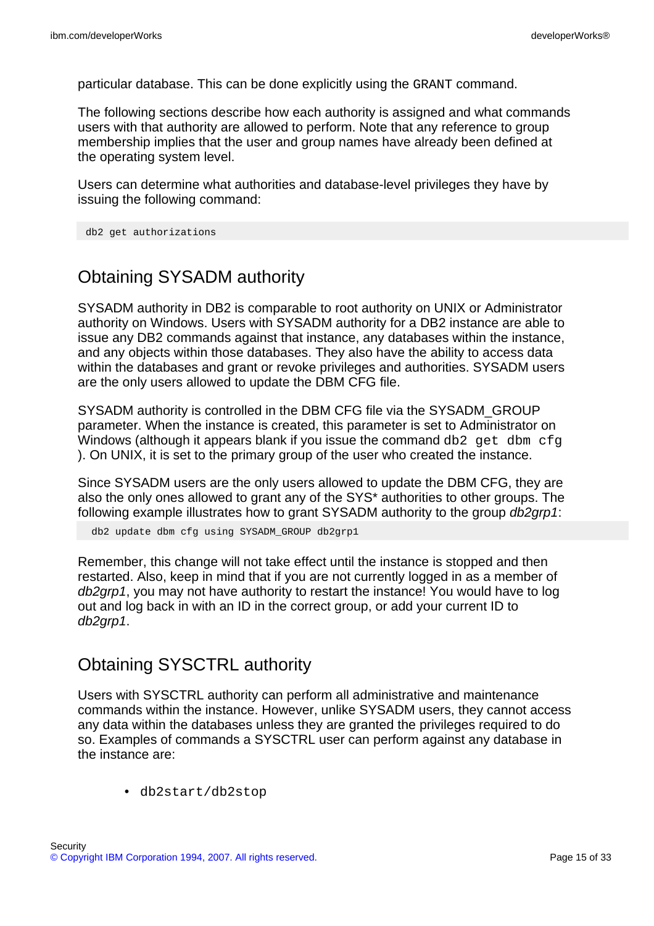particular database. This can be done explicitly using the GRANT command.

The following sections describe how each authority is assigned and what commands users with that authority are allowed to perform. Note that any reference to group membership implies that the user and group names have already been defined at the operating system level.

Users can determine what authorities and database-level privileges they have by issuing the following command:

```
db2 get authorizations
```
# Obtaining SYSADM authority

SYSADM authority in DB2 is comparable to root authority on UNIX or Administrator authority on Windows. Users with SYSADM authority for a DB2 instance are able to issue any DB2 commands against that instance, any databases within the instance, and any objects within those databases. They also have the ability to access data within the databases and grant or revoke privileges and authorities. SYSADM users are the only users allowed to update the DBM CFG file.

SYSADM authority is controlled in the DBM CFG file via the SYSADM\_GROUP parameter. When the instance is created, this parameter is set to Administrator on Windows (although it appears blank if you issue the command  $db2$  get dbm  $cfq$ ). On UNIX, it is set to the primary group of the user who created the instance.

Since SYSADM users are the only users allowed to update the DBM CFG, they are also the only ones allowed to grant any of the SYS\* authorities to other groups. The following example illustrates how to grant SYSADM authority to the group db2qrp1:

db2 update dbm cfg using SYSADM\_GROUP db2grp1

Remember, this change will not take effect until the instance is stopped and then restarted. Also, keep in mind that if you are not currently logged in as a member of db2qrp1, you may not have authority to restart the instance! You would have to log out and log back in with an ID in the correct group, or add your current ID to db2grp1.

## Obtaining SYSCTRL authority

Users with SYSCTRL authority can perform all administrative and maintenance commands within the instance. However, unlike SYSADM users, they cannot access any data within the databases unless they are granted the privileges required to do so. Examples of commands a SYSCTRL user can perform against any database in the instance are:

• db2start/db2stop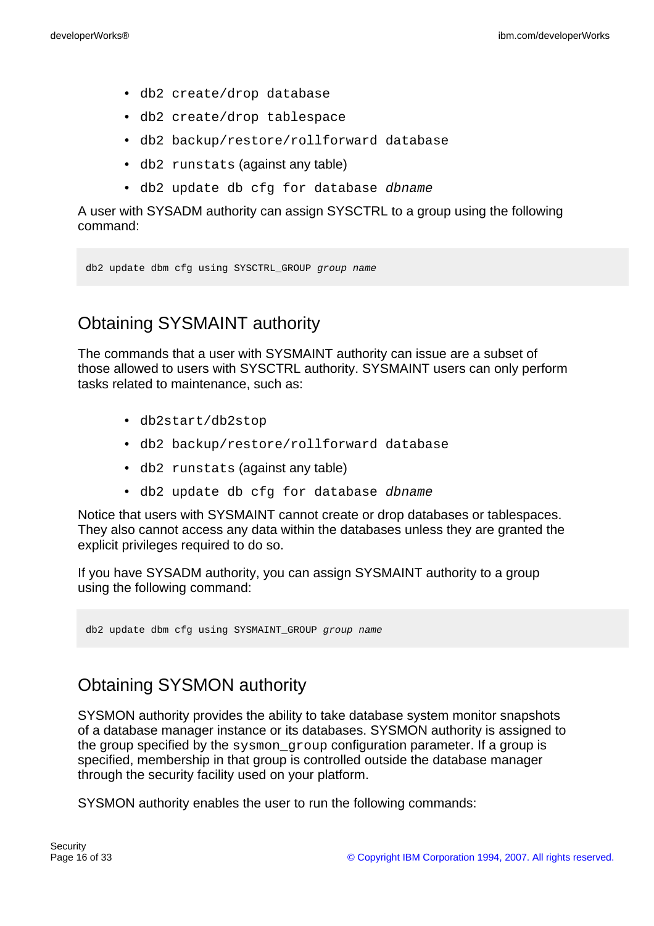- db2 create/drop database
- db2 create/drop tablespace
- db2 backup/restore/rollforward database
- db2 runstats (against any table)
- db2 update db cfg for database dbname

A user with SYSADM authority can assign SYSCTRL to a group using the following command:

db2 update dbm cfg using SYSCTRL\_GROUP group name

# Obtaining SYSMAINT authority

The commands that a user with SYSMAINT authority can issue are a subset of those allowed to users with SYSCTRL authority. SYSMAINT users can only perform tasks related to maintenance, such as:

- db2start/db2stop
- db2 backup/restore/rollforward database
- db2 runstats (against any table)
- db2 update db cfg for database dbname

Notice that users with SYSMAINT cannot create or drop databases or tablespaces. They also cannot access any data within the databases unless they are granted the explicit privileges required to do so.

If you have SYSADM authority, you can assign SYSMAINT authority to a group using the following command:

db2 update dbm cfg using SYSMAINT\_GROUP group name

# Obtaining SYSMON authority

SYSMON authority provides the ability to take database system monitor snapshots of a database manager instance or its databases. SYSMON authority is assigned to the group specified by the sysmon\_group configuration parameter. If a group is specified, membership in that group is controlled outside the database manager through the security facility used on your platform.

SYSMON authority enables the user to run the following commands: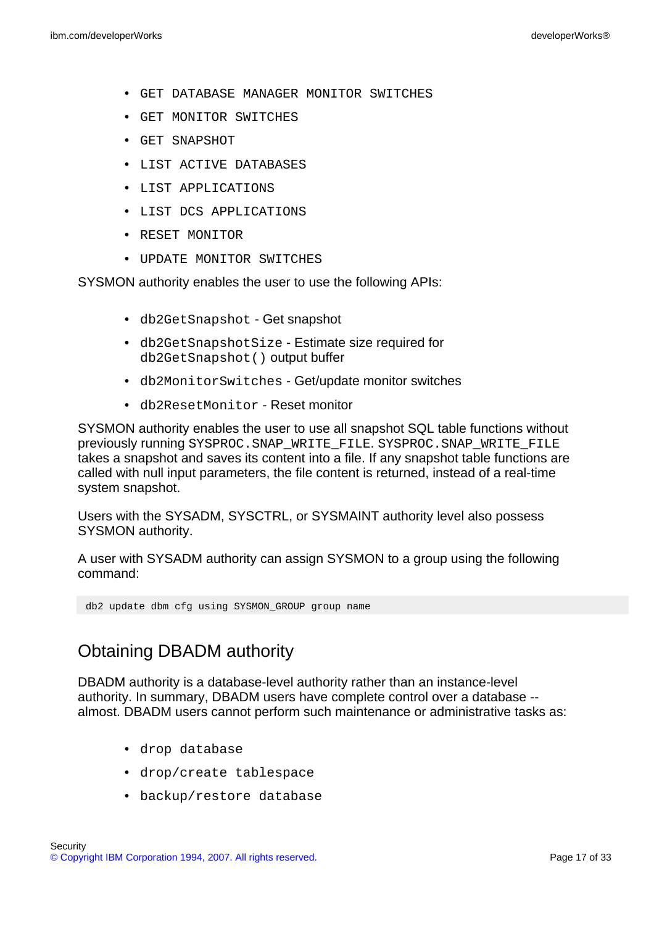- GET DATABASE MANAGER MONITOR SWITCHES
- GET MONITOR SWITCHES
- GET SNAPSHOT
- LIST ACTIVE DATABASES
- LIST APPLICATIONS
- LIST DCS APPLICATIONS
- RESET MONITOR
- UPDATE MONITOR SWITCHES

SYSMON authority enables the user to use the following APIs:

- db2GetSnapshot Get snapshot
- db2GetSnapshotSize Estimate size required for db2GetSnapshot() output buffer
- db2MonitorSwitches Get/update monitor switches
- db2ResetMonitor Reset monitor

SYSMON authority enables the user to use all snapshot SQL table functions without previously running SYSPROC. SNAP\_WRITE\_FILE. SYSPROC. SNAP\_WRITE\_FILE takes a snapshot and saves its content into a file. If any snapshot table functions are called with null input parameters, the file content is returned, instead of a real-time system snapshot.

Users with the SYSADM, SYSCTRL, or SYSMAINT authority level also possess SYSMON authority.

A user with SYSADM authority can assign SYSMON to a group using the following command:

db2 update dbm cfg using SYSMON\_GROUP group name

# Obtaining DBADM authority

DBADM authority is a database-level authority rather than an instance-level authority. In summary, DBADM users have complete control over a database - almost. DBADM users cannot perform such maintenance or administrative tasks as:

- drop database
- drop/create tablespace
- backup/restore database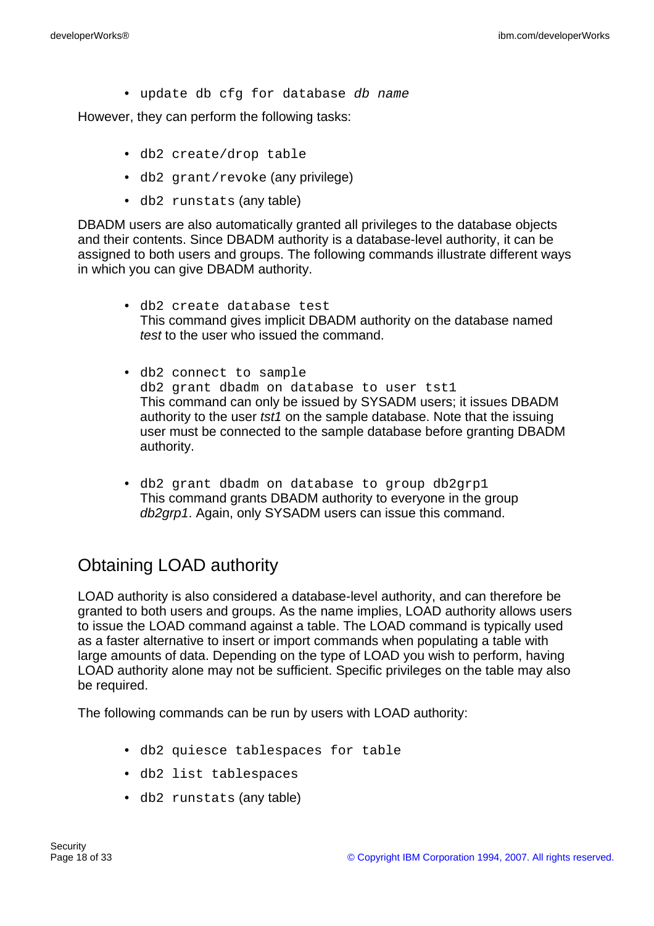• update db cfg for database db name

However, they can perform the following tasks:

- db2 create/drop table
- db2 grant/revoke (any privilege)
- db2 runstats (any table)

DBADM users are also automatically granted all privileges to the database objects and their contents. Since DBADM authority is a database-level authority, it can be assigned to both users and groups. The following commands illustrate different ways in which you can give DBADM authority.

- db2 create database test This command gives implicit DBADM authority on the database named test to the user who issued the command.
- db2 connect to sample db2 grant dbadm on database to user tst1 This command can only be issued by SYSADM users; it issues DBADM authority to the user *tst1* on the sample database. Note that the issuing user must be connected to the sample database before granting DBADM authority.
- db2 grant dbadm on database to group db2grp1 This command grants DBADM authority to everyone in the group db2grp1. Again, only SYSADM users can issue this command.

# Obtaining LOAD authority

LOAD authority is also considered a database-level authority, and can therefore be granted to both users and groups. As the name implies, LOAD authority allows users to issue the LOAD command against a table. The LOAD command is typically used as a faster alternative to insert or import commands when populating a table with large amounts of data. Depending on the type of LOAD you wish to perform, having LOAD authority alone may not be sufficient. Specific privileges on the table may also be required.

The following commands can be run by users with LOAD authority:

- db2 quiesce tablespaces for table
- db2 list tablespaces
- db2 runstats (any table)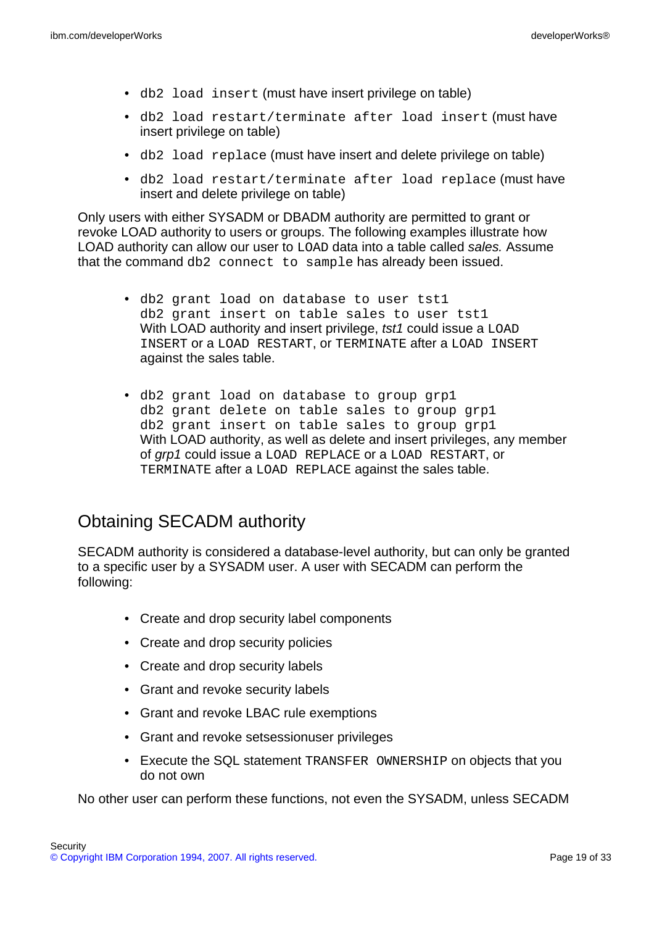- db2 load insert (must have insert privilege on table)
- db2 load restart/terminate after load insert (must have insert privilege on table)
- db2 load replace (must have insert and delete privilege on table)
- db2 load restart/terminate after load replace (must have insert and delete privilege on table)

Only users with either SYSADM or DBADM authority are permitted to grant or revoke LOAD authority to users or groups. The following examples illustrate how LOAD authority can allow our user to LOAD data into a table called sales. Assume that the command db2 connect to sample has already been issued.

- db2 grant load on database to user tst1 db2 grant insert on table sales to user tst1 With LOAD authority and insert privilege, tst1 could issue a LOAD INSERT or a LOAD RESTART, or TERMINATE after a LOAD INSERT against the sales table.
- db2 grant load on database to group grp1 db2 grant delete on table sales to group grp1 db2 grant insert on table sales to group grp1 With LOAD authority, as well as delete and insert privileges, any member of grp1 could issue a LOAD REPLACE or a LOAD RESTART, or TERMINATE after a LOAD REPLACE against the sales table.

# Obtaining SECADM authority

SECADM authority is considered a database-level authority, but can only be granted to a specific user by a SYSADM user. A user with SECADM can perform the following:

- Create and drop security label components
- Create and drop security policies
- Create and drop security labels
- Grant and revoke security labels
- Grant and revoke LBAC rule exemptions
- Grant and revoke setsessionuser privileges
- Execute the SQL statement TRANSFER OWNERSHIP on objects that you do not own

No other user can perform these functions, not even the SYSADM, unless SECADM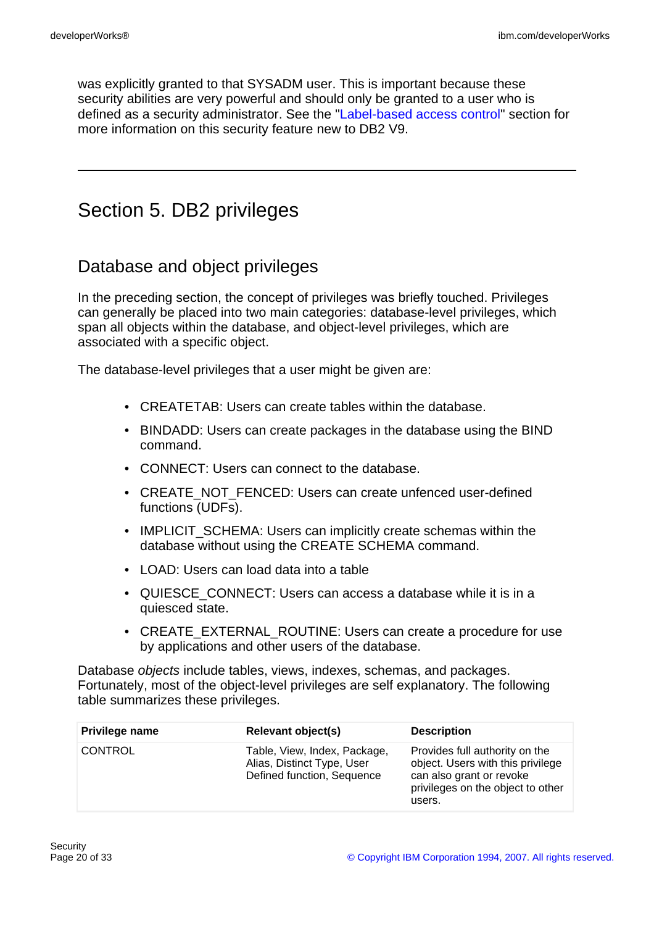was explicitly granted to that SYSADM user. This is important because these security abilities are very powerful and should only be granted to a user who is defined as a security administrator. See the ["Label-based access control](#page-23-0)" section for more information on this security feature new to DB2 V9.

# Section 5. DB2 privileges

# Database and object privileges

In the preceding section, the concept of privileges was briefly touched. Privileges can generally be placed into two main categories: database-level privileges, which span all objects within the database, and object-level privileges, which are associated with a specific object.

The database-level privileges that a user might be given are:

- CREATETAB: Users can create tables within the database.
- BINDADD: Users can create packages in the database using the BIND command.
- CONNECT: Users can connect to the database.
- CREATE\_NOT\_FENCED: Users can create unfenced user-defined functions (UDFs).
- IMPLICIT\_SCHEMA: Users can implicitly create schemas within the database without using the CREATE SCHEMA command.
- LOAD: Users can load data into a table
- QUIESCE\_CONNECT: Users can access a database while it is in a quiesced state.
- CREATE\_EXTERNAL\_ROUTINE: Users can create a procedure for use by applications and other users of the database.

Database objects include tables, views, indexes, schemas, and packages. Fortunately, most of the object-level privileges are self explanatory. The following table summarizes these privileges.

| Privilege name | Relevant object(s)                                                                       | <b>Description</b>                                                                                                                             |
|----------------|------------------------------------------------------------------------------------------|------------------------------------------------------------------------------------------------------------------------------------------------|
| <b>CONTROL</b> | Table, View, Index, Package,<br>Alias, Distinct Type, User<br>Defined function, Sequence | Provides full authority on the<br>object. Users with this privilege<br>can also grant or revoke<br>privileges on the object to other<br>users. |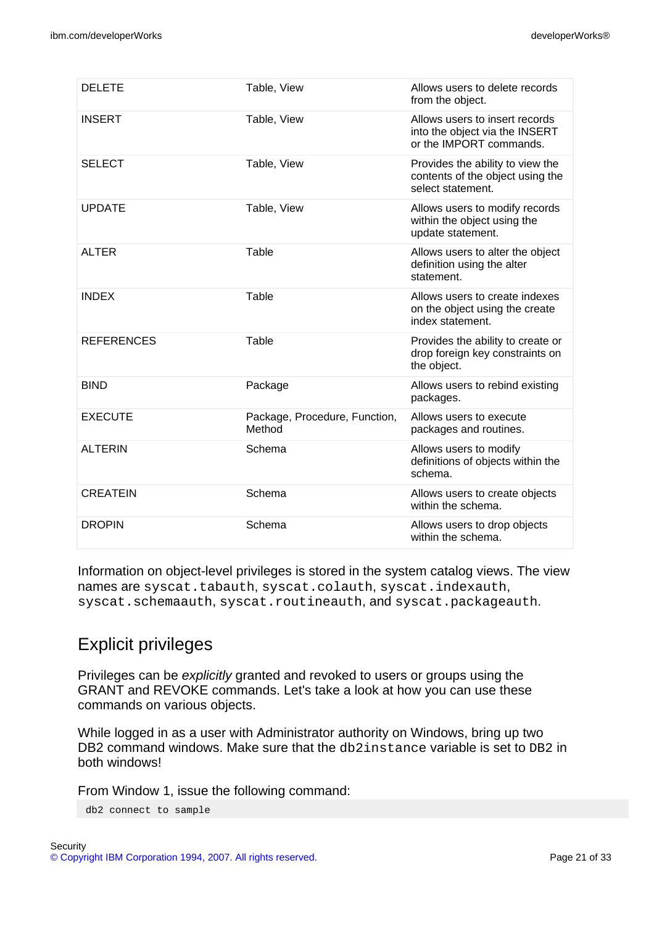| <b>DELETE</b>     | Table, View                             | Allows users to delete records<br>from the object.                                          |
|-------------------|-----------------------------------------|---------------------------------------------------------------------------------------------|
| <b>INSERT</b>     | Table, View                             | Allows users to insert records<br>into the object via the INSERT<br>or the IMPORT commands. |
| <b>SELECT</b>     | Table, View                             | Provides the ability to view the<br>contents of the object using the<br>select statement.   |
| <b>UPDATE</b>     | Table, View                             | Allows users to modify records<br>within the object using the<br>update statement.          |
| <b>ALTER</b>      | Table                                   | Allows users to alter the object<br>definition using the alter<br>statement.                |
| <b>INDEX</b>      | Table                                   | Allows users to create indexes<br>on the object using the create<br>index statement.        |
| <b>REFERENCES</b> | Table                                   | Provides the ability to create or<br>drop foreign key constraints on<br>the object.         |
| <b>BIND</b>       | Package                                 | Allows users to rebind existing<br>packages.                                                |
| <b>EXECUTE</b>    | Package, Procedure, Function,<br>Method | Allows users to execute<br>packages and routines.                                           |
| <b>ALTERIN</b>    | Schema                                  | Allows users to modify<br>definitions of objects within the<br>schema.                      |
| <b>CREATEIN</b>   | Schema                                  | Allows users to create objects<br>within the schema.                                        |
| <b>DROPIN</b>     | Schema                                  | Allows users to drop objects<br>within the schema.                                          |

Information on object-level privileges is stored in the system catalog views. The view names are syscat.tabauth, syscat.colauth, syscat.indexauth, syscat.schemaauth, syscat.routineauth, and syscat.packageauth.

# Explicit privileges

Privileges can be explicitly granted and revoked to users or groups using the GRANT and REVOKE commands. Let's take a look at how you can use these commands on various objects.

While logged in as a user with Administrator authority on Windows, bring up two DB2 command windows. Make sure that the db2instance variable is set to DB2 in both windows!

From Window 1, issue the following command:

db2 connect to sample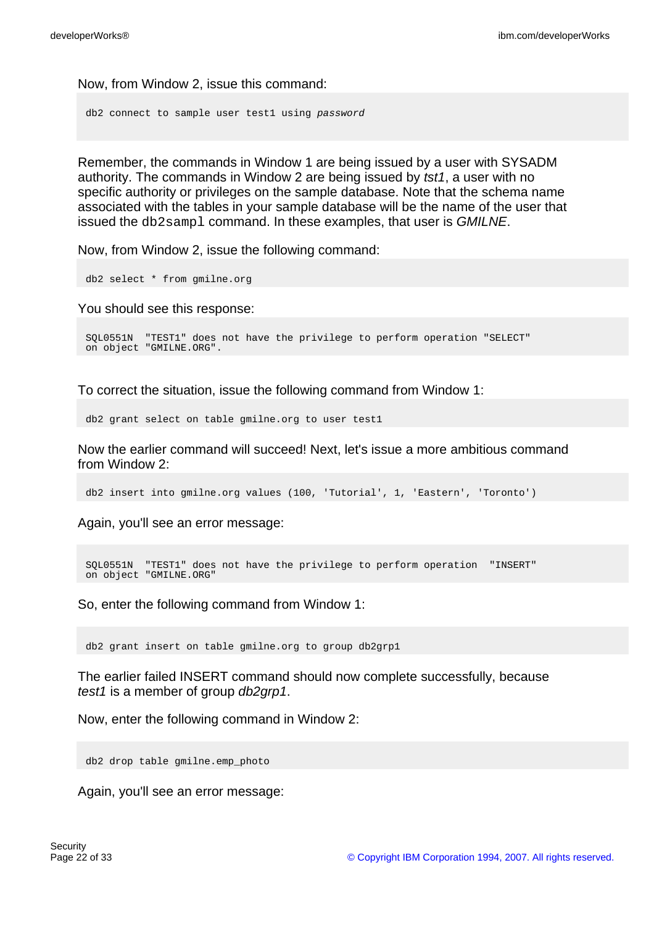Now, from Window 2, issue this command:

db2 connect to sample user test1 using password

Remember, the commands in Window 1 are being issued by a user with SYSADM authority. The commands in Window 2 are being issued by tst1, a user with no specific authority or privileges on the sample database. Note that the schema name associated with the tables in your sample database will be the name of the user that issued the db2sampl command. In these examples, that user is GMILNE.

Now, from Window 2, issue the following command:

db2 select \* from gmilne.org

You should see this response:

```
SQL0551N "TEST1" does not have the privilege to perform operation "SELECT"
on object "GMILNE.ORG".
```
To correct the situation, issue the following command from Window 1:

db2 grant select on table gmilne.org to user test1

Now the earlier command will succeed! Next, let's issue a more ambitious command from Window 2:

db2 insert into gmilne.org values (100, 'Tutorial', 1, 'Eastern', 'Toronto')

Again, you'll see an error message:

```
SQL0551N "TEST1" does not have the privilege to perform operation "INSERT"
on object "GMILNE.ORG"
```
So, enter the following command from Window 1:

db2 grant insert on table gmilne.org to group db2grp1

The earlier failed INSERT command should now complete successfully, because test1 is a member of group db2grp1.

Now, enter the following command in Window 2:

db2 drop table gmilne.emp\_photo

Again, you'll see an error message: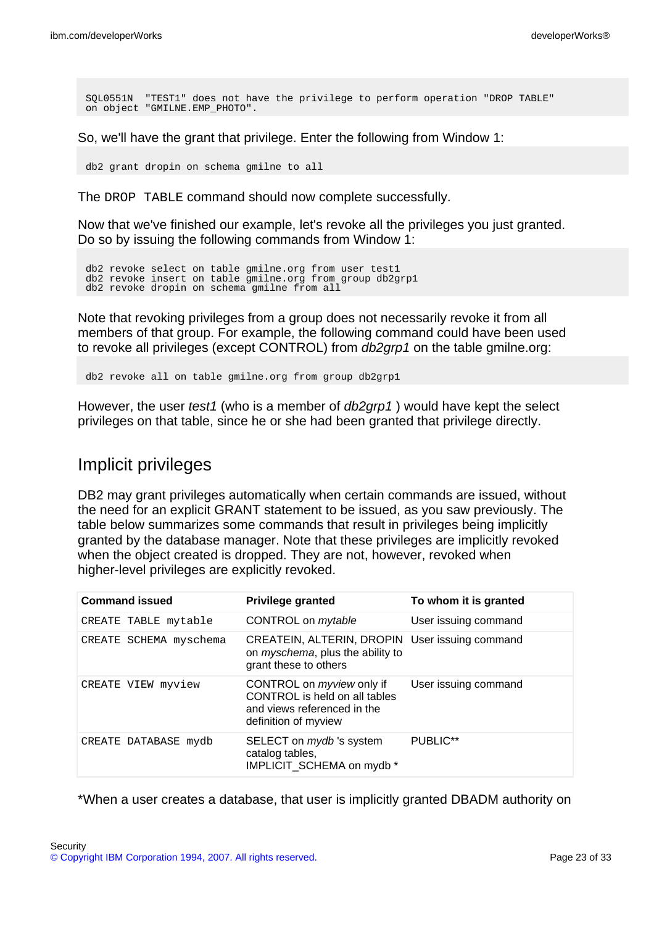SQL0551N "TEST1" does not have the privilege to perform operation "DROP TABLE" on object "GMILNE.EMP\_PHOTO".

So, we'll have the grant that privilege. Enter the following from Window 1:

db2 grant dropin on schema gmilne to all

The DROP TABLE command should now complete successfully.

Now that we've finished our example, let's revoke all the privileges you just granted. Do so by issuing the following commands from Window 1:

```
db2 revoke select on table gmilne.org from user test1
db2 revoke insert on table gmilne.org from group db2grp1
db2 revoke dropin on schema gmilne from all
```
Note that revoking privileges from a group does not necessarily revoke it from all members of that group. For example, the following command could have been used to revoke all privileges (except CONTROL) from *db2grp1* on the table gmilne.org:

db2 revoke all on table gmilne.org from group db2grp1

However, the user test1 (who is a member of db2qrp1) would have kept the select privileges on that table, since he or she had been granted that privilege directly.

## Implicit privileges

DB2 may grant privileges automatically when certain commands are issued, without the need for an explicit GRANT statement to be issued, as you saw previously. The table below summarizes some commands that result in privileges being implicitly granted by the database manager. Note that these privileges are implicitly revoked when the object created is dropped. They are not, however, revoked when higher-level privileges are explicitly revoked.

| <b>Command issued</b>  | <b>Privilege granted</b>                                                                                                 | To whom it is granted |
|------------------------|--------------------------------------------------------------------------------------------------------------------------|-----------------------|
| CREATE TABLE mytable   | CONTROL on <i>mytable</i>                                                                                                | User issuing command  |
| CREATE SCHEMA myschema | CREATEIN, ALTERIN, DROPIN User issuing command<br>on myschema, plus the ability to<br>grant these to others              |                       |
| CREATE VIEW myview     | CONTROL on <i>myview</i> only if<br>CONTROL is held on all tables<br>and views referenced in the<br>definition of myview | User issuing command  |
| CREATE DATABASE mydb   | SELECT on <i>mydb</i> 's system<br>catalog tables,<br>IMPLICIT_SCHEMA on mydb *                                          | PUBLIC**              |

\*When a user creates a database, that user is implicitly granted DBADM authority on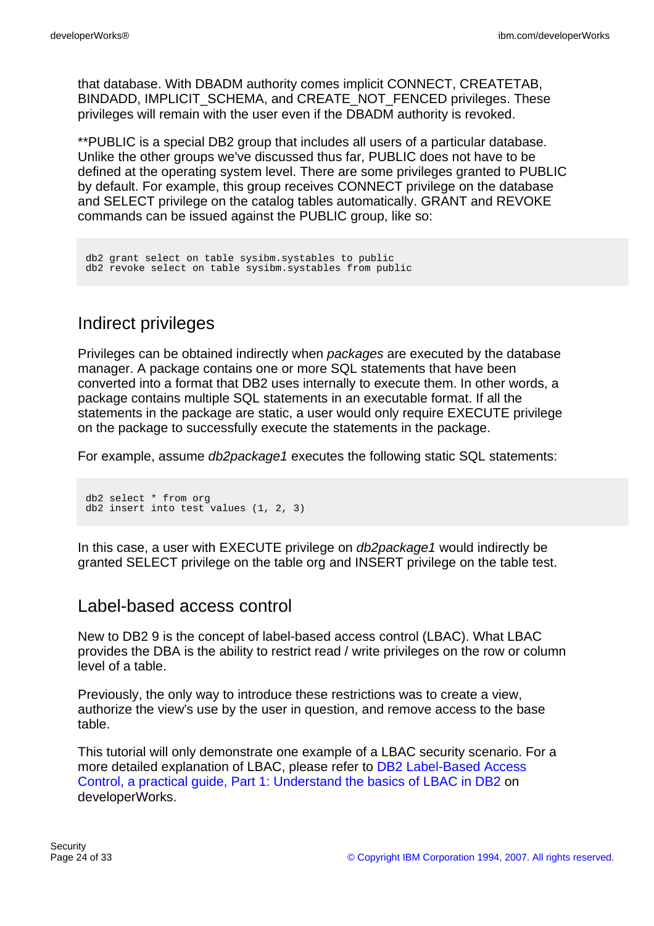that database. With DBADM authority comes implicit CONNECT, CREATETAB, BINDADD, IMPLICIT\_SCHEMA, and CREATE\_NOT\_FENCED privileges. These privileges will remain with the user even if the DBADM authority is revoked.

\*\*PUBLIC is a special DB2 group that includes all users of a particular database. Unlike the other groups we've discussed thus far, PUBLIC does not have to be defined at the operating system level. There are some privileges granted to PUBLIC by default. For example, this group receives CONNECT privilege on the database and SELECT privilege on the catalog tables automatically. GRANT and REVOKE commands can be issued against the PUBLIC group, like so:

```
db2 grant select on table sysibm.systables to public
db2 revoke select on table sysibm.systables from public
```
# Indirect privileges

Privileges can be obtained indirectly when packages are executed by the database manager. A package contains one or more SQL statements that have been converted into a format that DB2 uses internally to execute them. In other words, a package contains multiple SQL statements in an executable format. If all the statements in the package are static, a user would only require EXECUTE privilege on the package to successfully execute the statements in the package.

For example, assume *db2package1* executes the following static SQL statements:

```
db2 select * from org
db2 insert into test values (1, 2, 3)
```
In this case, a user with EXECUTE privilege on *db2package1* would indirectly be granted SELECT privilege on the table org and INSERT privilege on the table test.

## <span id="page-23-0"></span>Label-based access control

New to DB2 9 is the concept of label-based access control (LBAC). What LBAC provides the DBA is the ability to restrict read / write privileges on the row or column level of a table.

Previously, the only way to introduce these restrictions was to create a view, authorize the view's use by the user in question, and remove access to the base table.

This tutorial will only demonstrate one example of a LBAC security scenario. For a more detailed explanation of LBAC, please refer to [DB2 Label-Based Access](http://www.ibm.com/developerworks/edu/dm-dw-dm-0605wong-i.html) [Control, a practical guide, Part 1: Understand the basics of LBAC in DB2](http://www.ibm.com/developerworks/edu/dm-dw-dm-0605wong-i.html) on developerWorks.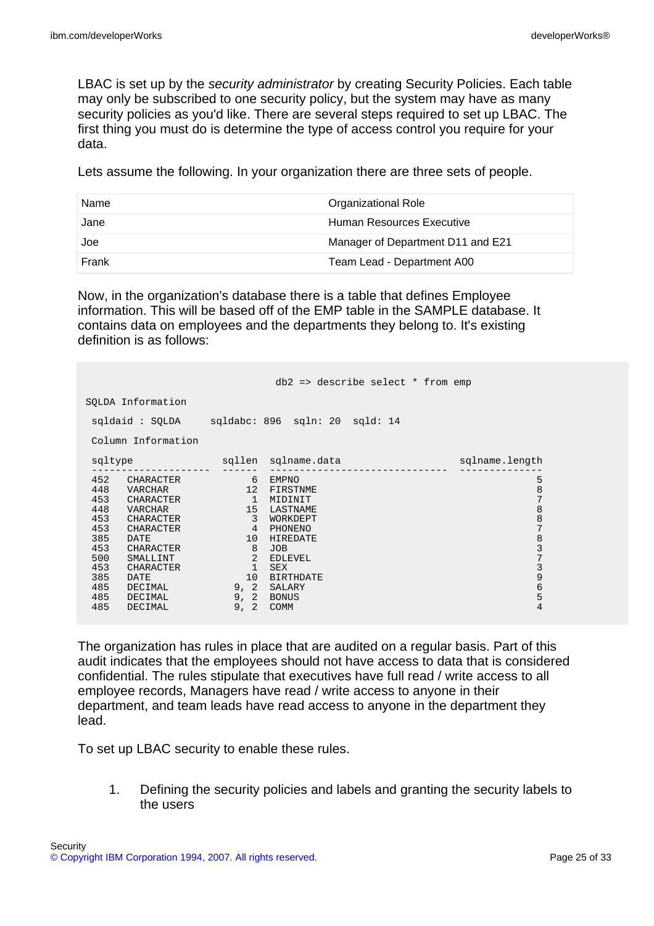LBAC is set up by the security administrator by creating Security Policies. Each table may only be subscribed to one security policy, but the system may have as many security policies as you'd like. There are several steps required to set up LBAC. The first thing you must do is determine the type of access control you require for your data.

Lets assume the following. In your organization there are three sets of people.

| Name  | Organizational Role               |
|-------|-----------------------------------|
| Jane  | Human Resources Executive         |
| Joe   | Manager of Department D11 and E21 |
| Frank | Team Lead - Department A00        |

Now, in the organization's database there is a table that defines Employee information. This will be based off of the EMP table in the SAMPLE database. It contains data on employees and the departments they belong to. It's existing definition is as follows:

|                                                                                                                                                                                                                                                              |                                                                                                                              | db2 => describe select * from emp                                                                                                                                  |                                                                                                                                                                                                      |
|--------------------------------------------------------------------------------------------------------------------------------------------------------------------------------------------------------------------------------------------------------------|------------------------------------------------------------------------------------------------------------------------------|--------------------------------------------------------------------------------------------------------------------------------------------------------------------|------------------------------------------------------------------------------------------------------------------------------------------------------------------------------------------------------|
| SOLDA Information                                                                                                                                                                                                                                            |                                                                                                                              |                                                                                                                                                                    |                                                                                                                                                                                                      |
|                                                                                                                                                                                                                                                              |                                                                                                                              | sqldaid: SQLDA sqldabc: 896 sqln: 20 sqld: 14                                                                                                                      |                                                                                                                                                                                                      |
| Column Information                                                                                                                                                                                                                                           |                                                                                                                              |                                                                                                                                                                    |                                                                                                                                                                                                      |
| sqltype                                                                                                                                                                                                                                                      |                                                                                                                              | sqllen sqlname.data                                                                                                                                                | sqlname.length                                                                                                                                                                                       |
| 452 CHARACTER<br>448<br>VARCHAR<br>453<br>CHARACTER<br>448<br>VARCHAR<br>453<br>CHARACTER<br>453<br>CHARACTER<br>385<br>DATE<br>453<br>CHARACTER<br>500<br>SMALLINT<br>453<br>CHARACTER<br>385<br>DATE<br>485<br>DECIMAL<br>485<br>DECIMAL<br>485<br>DECIMAL | $\sim$ 6<br>12<br>$\overline{1}$<br>15<br>$\overline{\phantom{a}}$ 3<br>4<br>10 <sup>°</sup><br>8<br>2<br>$\mathbf{1}$<br>10 | EMPNO<br>FIRSTNME<br>MIDINIT<br>LASTNAME<br>WORKDEPT<br>PHONENO<br>HIREDATE<br><b>JOB</b><br>EDLEVEL<br>SEX<br>BIRTHDATE<br>9, 2 SALARY<br>9, 2 BONUS<br>9, 2 COMM | 5<br>$\begin{array}{c} 8 \\ 7 \end{array}$<br>$\,8\,$<br>$\begin{array}{c} 8 \\ 7 \end{array}$<br>$\begin{array}{c} 8 \\ 3 \\ 7 \end{array}$<br>3<br>$\begin{array}{c} 9 \\ 6 \end{array}$<br>5<br>4 |

The organization has rules in place that are audited on a regular basis. Part of this audit indicates that the employees should not have access to data that is considered confidential. The rules stipulate that executives have full read / write access to all employee records, Managers have read / write access to anyone in their department, and team leads have read access to anyone in the department they lead.

To set up LBAC security to enable these rules.

1. Defining the security policies and labels and granting the security labels to the users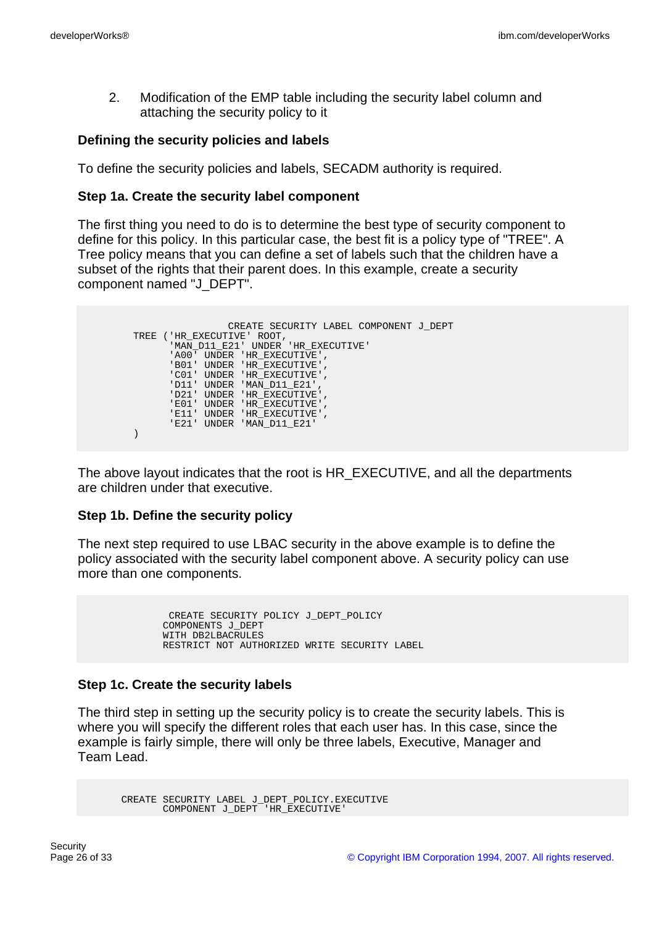2. Modification of the EMP table including the security label column and attaching the security policy to it

#### **Defining the security policies and labels**

To define the security policies and labels, SECADM authority is required.

#### **Step 1a. Create the security label component**

The first thing you need to do is to determine the best type of security component to define for this policy. In this particular case, the best fit is a policy type of "TREE". A Tree policy means that you can define a set of labels such that the children have a subset of the rights that their parent does. In this example, create a security component named "J\_DEPT".

| CREATE SECURITY LABEL COMPONENT J DEPT |
|----------------------------------------|
| TREE ('HR_EXECUTIVE' ROOT,             |
| 'MAN D11 E21' UNDER 'HR EXECUTIVE'     |
| 'A00' UNDER 'HR EXECUTIVE',            |
| 'B01' UNDER 'HR EXECUTIVE',            |
| 'CO1' UNDER 'HR EXECUTIVE',            |
| 'D11' UNDER 'MAN D11 E21',             |
| 'D21' UNDER 'HR EXECUTIVE',            |
| 'E01' UNDER 'HR EXECUTIVE',            |
| 'E11' UNDER 'HR EXECUTIVE',            |
| 'E21' UNDER 'MAN D11 E21'              |
|                                        |

The above layout indicates that the root is HR\_EXECUTIVE, and all the departments are children under that executive.

### **Step 1b. Define the security policy**

The next step required to use LBAC security in the above example is to define the policy associated with the security label component above. A security policy can use more than one components.

> CREATE SECURITY POLICY J\_DEPT\_POLICY COMPONENTS J\_DEPT WITH DB2LBACRULES RESTRICT NOT AUTHORIZED WRITE SECURITY LABEL

### **Step 1c. Create the security labels**

The third step in setting up the security policy is to create the security labels. This is where you will specify the different roles that each user has. In this case, since the example is fairly simple, there will only be three labels, Executive, Manager and Team Lead.

CREATE SECURITY LABEL J\_DEPT\_POLICY.EXECUTIVE COMPONENT J\_DEPT 'HR\_EXECUTIVE'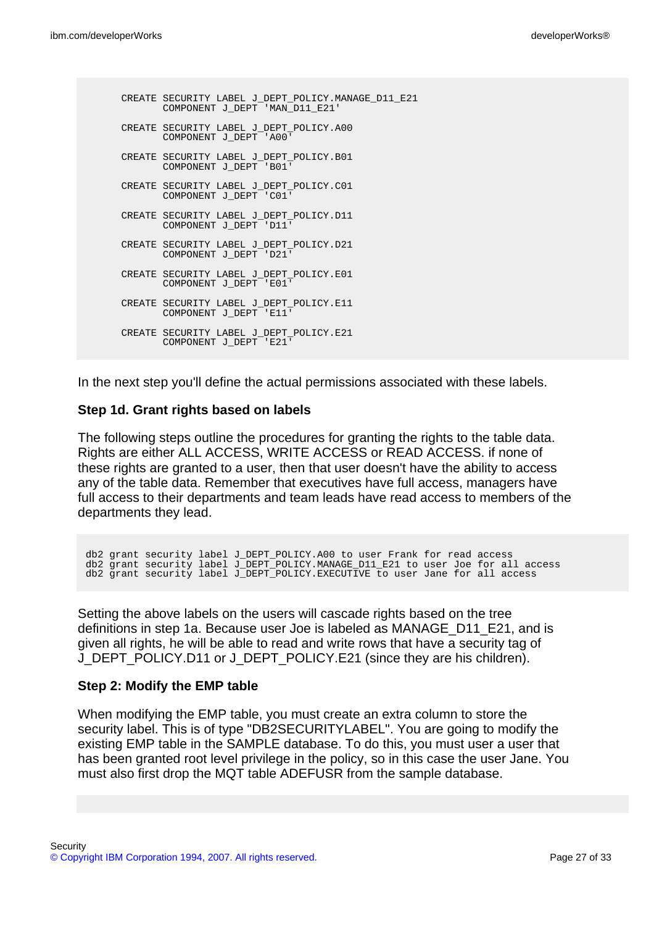```
CREATE SECURITY LABEL J_DEPT_POLICY.MANAGE_D11_E21
      COMPONENT J_DEPT 'MAN_D11_E21'
CREATE SECURITY LABEL J_DEPT_POLICY.A00
       COMPONENT J_DEPT 'A00'
CREATE SECURITY LABEL J_DEPT_POLICY.B01
       COMPONENT J_DEPT 'B01'
CREATE SECURITY LABEL J_DEPT_POLICY.C01
       COMPONENT J_DEPT 'C01'
CREATE SECURITY LABEL J_DEPT_POLICY.D11
       COMPONENT J_DEPT 'D11'
CREATE SECURITY LABEL J_DEPT_POLICY.D21
      COMPONENT J_DEPT 'D21'
CREATE SECURITY LABEL J_DEPT_POLICY.E01
      COMPONENT J_DEPT 'E01'
CREATE SECURITY LABEL J_DEPT_POLICY.E11
       COMPONENT J_DEPT 'E11'
CREATE SECURITY LABEL J_DEPT_POLICY.E21
      COMPONENT J_DEPT 'E21'
```
In the next step you'll define the actual permissions associated with these labels.

#### **Step 1d. Grant rights based on labels**

The following steps outline the procedures for granting the rights to the table data. Rights are either ALL ACCESS, WRITE ACCESS or READ ACCESS. if none of these rights are granted to a user, then that user doesn't have the ability to access any of the table data. Remember that executives have full access, managers have full access to their departments and team leads have read access to members of the departments they lead.

db2 grant security label J\_DEPT\_POLICY.A00 to user Frank for read access db2 grant security label J\_DEPT\_POLICY.MANAGE\_D11\_E21 to user Joe for all access db2 grant security label J\_DEPT\_POLICY.EXECUTIVE to user Jane for all access

Setting the above labels on the users will cascade rights based on the tree definitions in step 1a. Because user Joe is labeled as MANAGE\_D11\_E21, and is given all rights, he will be able to read and write rows that have a security tag of J\_DEPT\_POLICY.D11 or J\_DEPT\_POLICY.E21 (since they are his children).

#### **Step 2: Modify the EMP table**

When modifying the EMP table, you must create an extra column to store the security label. This is of type "DB2SECURITYLABEL". You are going to modify the existing EMP table in the SAMPLE database. To do this, you must user a user that has been granted root level privilege in the policy, so in this case the user Jane. You must also first drop the MQT table ADEFUSR from the sample database.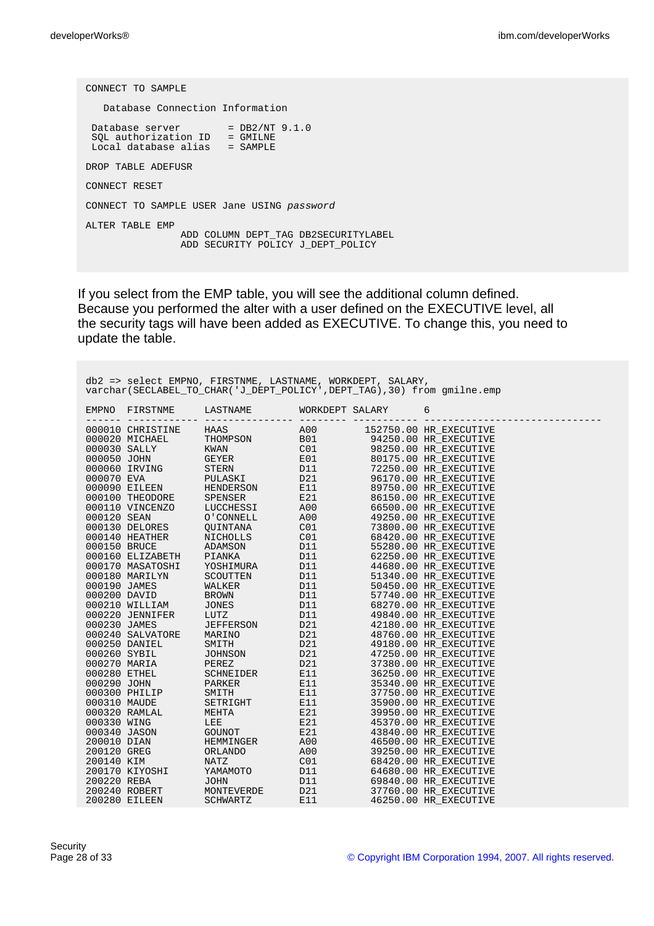CONNECT TO SAMPLE Database Connection Information Database server  $= DB2/NT 9.1.0$ SQL authorization ID = GMILNE Local database alias = SAMPLE DROP TABLE ADEFUSR CONNECT RESET CONNECT TO SAMPLE USER Jane USING password ALTER TABLE EMP ADD COLUMN DEPT\_TAG DB2SECURITYLABEL ADD SECURITY POLICY J\_DEPT\_POLICY

If you select from the EMP table, you will see the additional column defined. Because you performed the alter with a user defined on the EXECUTIVE level, all the security tags will have been added as EXECUTIVE. To change this, you need to update the table.

| db2 => select EMPNO, FIRSTNME, LASTNAME, WORKDEPT, SALARY,<br>varchar (SECLABEL TO CHAR ('J DEPT POLICY', DEPT TAG), 30) from qmilne.emp |  |                                   |  |  |   |  |
|------------------------------------------------------------------------------------------------------------------------------------------|--|-----------------------------------|--|--|---|--|
| EMPNO                                                                                                                                    |  | FIRSTNME LASTNAME WORKDEPT SALARY |  |  | 6 |  |
|                                                                                                                                          |  |                                   |  |  |   |  |
|                                                                                                                                          |  |                                   |  |  |   |  |
|                                                                                                                                          |  |                                   |  |  |   |  |
|                                                                                                                                          |  |                                   |  |  |   |  |
|                                                                                                                                          |  |                                   |  |  |   |  |
|                                                                                                                                          |  |                                   |  |  |   |  |
|                                                                                                                                          |  |                                   |  |  |   |  |
|                                                                                                                                          |  |                                   |  |  |   |  |
|                                                                                                                                          |  |                                   |  |  |   |  |
|                                                                                                                                          |  |                                   |  |  |   |  |
|                                                                                                                                          |  |                                   |  |  |   |  |
|                                                                                                                                          |  |                                   |  |  |   |  |
|                                                                                                                                          |  |                                   |  |  |   |  |
|                                                                                                                                          |  |                                   |  |  |   |  |
|                                                                                                                                          |  |                                   |  |  |   |  |
|                                                                                                                                          |  |                                   |  |  |   |  |
|                                                                                                                                          |  |                                   |  |  |   |  |
|                                                                                                                                          |  |                                   |  |  |   |  |
|                                                                                                                                          |  |                                   |  |  |   |  |
|                                                                                                                                          |  |                                   |  |  |   |  |
|                                                                                                                                          |  |                                   |  |  |   |  |
|                                                                                                                                          |  |                                   |  |  |   |  |
|                                                                                                                                          |  |                                   |  |  |   |  |
|                                                                                                                                          |  |                                   |  |  |   |  |
|                                                                                                                                          |  |                                   |  |  |   |  |
|                                                                                                                                          |  |                                   |  |  |   |  |
|                                                                                                                                          |  |                                   |  |  |   |  |
|                                                                                                                                          |  |                                   |  |  |   |  |
|                                                                                                                                          |  |                                   |  |  |   |  |
|                                                                                                                                          |  |                                   |  |  |   |  |
|                                                                                                                                          |  |                                   |  |  |   |  |
|                                                                                                                                          |  |                                   |  |  |   |  |
|                                                                                                                                          |  |                                   |  |  |   |  |
|                                                                                                                                          |  |                                   |  |  |   |  |
|                                                                                                                                          |  |                                   |  |  |   |  |
|                                                                                                                                          |  |                                   |  |  |   |  |
|                                                                                                                                          |  |                                   |  |  |   |  |
|                                                                                                                                          |  |                                   |  |  |   |  |
|                                                                                                                                          |  |                                   |  |  |   |  |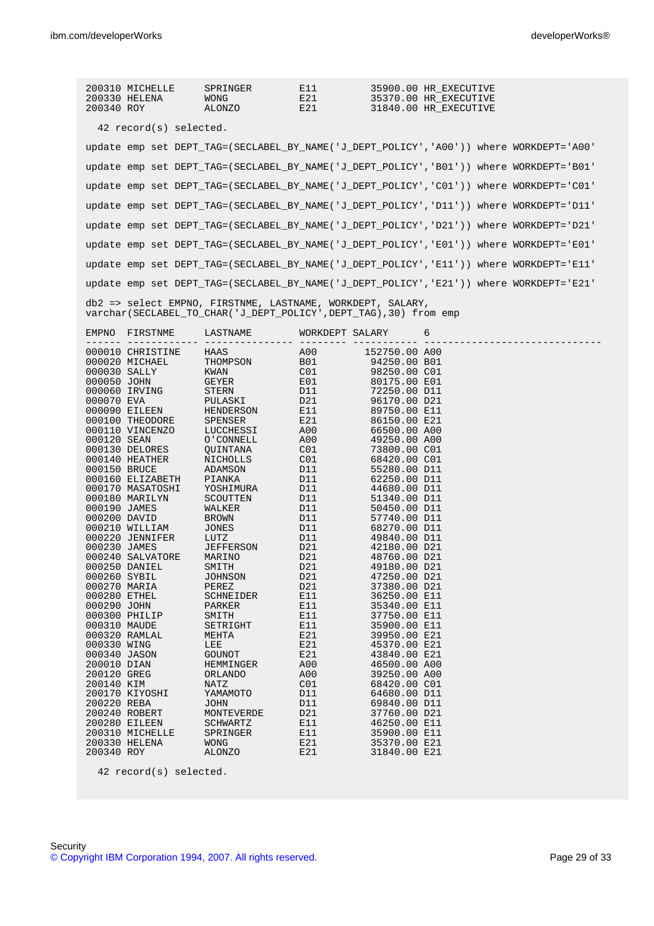| 200310 MICHELLE<br>200330 HELENA<br>200340 ROY                                                                                                                                                                                                                                                                                                                                                                                                                                                                                                                                                                                                                                                                                                                                                                                                                                                                                                                                                                            | SPRINGER<br><b>WONG</b><br>ALONZO                                                                                                                                                                             | E11<br>E21<br>E21                                                                                                                                                                                |                                                                                                                                                                                                                                                                                                                                                                                                                                              | 35900.00 HR_EXECUTIVE<br>35370.00 HR_EXECUTIVE<br>31840.00 HR_EXECUTIVE                 |
|---------------------------------------------------------------------------------------------------------------------------------------------------------------------------------------------------------------------------------------------------------------------------------------------------------------------------------------------------------------------------------------------------------------------------------------------------------------------------------------------------------------------------------------------------------------------------------------------------------------------------------------------------------------------------------------------------------------------------------------------------------------------------------------------------------------------------------------------------------------------------------------------------------------------------------------------------------------------------------------------------------------------------|---------------------------------------------------------------------------------------------------------------------------------------------------------------------------------------------------------------|--------------------------------------------------------------------------------------------------------------------------------------------------------------------------------------------------|----------------------------------------------------------------------------------------------------------------------------------------------------------------------------------------------------------------------------------------------------------------------------------------------------------------------------------------------------------------------------------------------------------------------------------------------|-----------------------------------------------------------------------------------------|
| 42 record(s) selected.                                                                                                                                                                                                                                                                                                                                                                                                                                                                                                                                                                                                                                                                                                                                                                                                                                                                                                                                                                                                    |                                                                                                                                                                                                               |                                                                                                                                                                                                  |                                                                                                                                                                                                                                                                                                                                                                                                                                              |                                                                                         |
|                                                                                                                                                                                                                                                                                                                                                                                                                                                                                                                                                                                                                                                                                                                                                                                                                                                                                                                                                                                                                           |                                                                                                                                                                                                               |                                                                                                                                                                                                  |                                                                                                                                                                                                                                                                                                                                                                                                                                              | update emp set DEPT_TAG=(SECLABEL_BY_NAME('J_DEPT_POLICY','A00')) where WORKDEPT='A00'  |
|                                                                                                                                                                                                                                                                                                                                                                                                                                                                                                                                                                                                                                                                                                                                                                                                                                                                                                                                                                                                                           |                                                                                                                                                                                                               |                                                                                                                                                                                                  |                                                                                                                                                                                                                                                                                                                                                                                                                                              | update emp set DEPT_TAG=(SECLABEL_BY_NAME('J_DEPT_POLICY','B01')) where WORKDEPT='B01'  |
|                                                                                                                                                                                                                                                                                                                                                                                                                                                                                                                                                                                                                                                                                                                                                                                                                                                                                                                                                                                                                           |                                                                                                                                                                                                               |                                                                                                                                                                                                  |                                                                                                                                                                                                                                                                                                                                                                                                                                              | update emp set DEPT TAG=(SECLABEL BY NAME('J DEPT POLICY', 'CO1')) where WORKDEPT='CO1' |
|                                                                                                                                                                                                                                                                                                                                                                                                                                                                                                                                                                                                                                                                                                                                                                                                                                                                                                                                                                                                                           |                                                                                                                                                                                                               |                                                                                                                                                                                                  |                                                                                                                                                                                                                                                                                                                                                                                                                                              | update emp set DEPT_TAG=(SECLABEL_BY_NAME('J_DEPT_POLICY','D11')) where WORKDEPT='D11'  |
|                                                                                                                                                                                                                                                                                                                                                                                                                                                                                                                                                                                                                                                                                                                                                                                                                                                                                                                                                                                                                           |                                                                                                                                                                                                               |                                                                                                                                                                                                  |                                                                                                                                                                                                                                                                                                                                                                                                                                              | update emp set DEPT TAG=(SECLABEL BY NAME('J DEPT POLICY', 'D21')) where WORKDEPT='D21' |
|                                                                                                                                                                                                                                                                                                                                                                                                                                                                                                                                                                                                                                                                                                                                                                                                                                                                                                                                                                                                                           |                                                                                                                                                                                                               |                                                                                                                                                                                                  |                                                                                                                                                                                                                                                                                                                                                                                                                                              | update emp set DEPT_TAG=(SECLABEL_BY_NAME('J_DEPT_POLICY','E01')) where WORKDEPT='E01'  |
|                                                                                                                                                                                                                                                                                                                                                                                                                                                                                                                                                                                                                                                                                                                                                                                                                                                                                                                                                                                                                           |                                                                                                                                                                                                               |                                                                                                                                                                                                  |                                                                                                                                                                                                                                                                                                                                                                                                                                              | update emp set DEPT_TAG=(SECLABEL_BY_NAME('J_DEPT_POLICY','E11')) where WORKDEPT='E11'  |
|                                                                                                                                                                                                                                                                                                                                                                                                                                                                                                                                                                                                                                                                                                                                                                                                                                                                                                                                                                                                                           |                                                                                                                                                                                                               |                                                                                                                                                                                                  |                                                                                                                                                                                                                                                                                                                                                                                                                                              | update emp set DEPT TAG=(SECLABEL BY NAME('J DEPT POLICY', 'E21')) where WORKDEPT='E21' |
| db2 => select EMPNO, FIRSTNME, LASTNAME, WORKDEPT, SALARY,<br>varchar (SECLABEL TO CHAR ('J DEPT POLICY', DEPT TAG), 30) from emp                                                                                                                                                                                                                                                                                                                                                                                                                                                                                                                                                                                                                                                                                                                                                                                                                                                                                         |                                                                                                                                                                                                               |                                                                                                                                                                                                  |                                                                                                                                                                                                                                                                                                                                                                                                                                              |                                                                                         |
| EMPNO FIRSTNME                                                                                                                                                                                                                                                                                                                                                                                                                                                                                                                                                                                                                                                                                                                                                                                                                                                                                                                                                                                                            | LASTNAME                                                                                                                                                                                                      | WORKDEPT SALARY<br>_________ __                                                                                                                                                                  |                                                                                                                                                                                                                                                                                                                                                                                                                                              | 6                                                                                       |
| $\begin{tabular}{l c c c c c} \hline \texttt{152750.00 A00} & \texttt{CHAPTER} & \texttt{HARS} & \texttt{A00} & \texttt{152750.00 A00} \\ \hline 0000020 MHz & \texttt{HRISTINE} & \texttt{HARS} & \texttt{A00} & \texttt{94250.00 B01} \\ 000020 MHz & \texttt{KWAN} & \texttt{CO1} & \texttt{98250.00 C01} \\ 000050 JORM & \texttt{GEYER} & \texttt{E01} & \texttt{80175.$<br>000140 HEATHER NICHOLLS CO1 68420.00 CO1<br>000150 BRUCE ADAMSON D11 55280.00 D11<br>000160 ELIZABETH PIANKA<br>000170 MASATOSHI YOSHIMURA<br>000180 MARILYN<br>000190 JAMES<br>000200 DAVID BROWN DII<br>000210 WILLIAM JONES D11<br>000210 WILBERT LUTZ<br>000220 JAMES JEFFERSON<br>000240 SALVATORE MARINO<br>000250 DANIEL SMITH<br>000260 SYBIL<br>000270 MARIA<br>000280 ETHEL<br>000290 JOHN<br>000300 PHILIP<br>000310 MAUDE<br>000320 RAMLAL<br>000330 WING<br>000340 JASON<br>200010 DIAN<br>200120 GREG<br>200140 KIM<br>200170 KIYOSHI<br>200220 REBA<br>200240 ROBERT<br>200280 EILEEN<br>200310 MICHELLE<br>200330 HELENA | SCOUTTEN<br>WALKER<br>JOHNSON<br>PEREZ<br>SCHNEIDER<br>PARKER<br>SMITH<br>SETRIGHT<br>MEHTA<br>LEE<br>GOUNOT<br>HEMMINGER<br><b>ORLANDO</b><br>NATZ<br>YAMAMOTO<br>JOHN<br>MONTEVERDE<br>SCHWARTZ<br>SPRINGER | D11<br>$D_{11}$<br>D11<br>D11<br>$D11$<br>$D21$<br>D21<br>D21<br>D21<br>D21<br>E11<br>E11<br>E11<br>E11<br>E21<br>E21<br>E21<br>A00<br>A00<br>C <sub>01</sub><br>D11<br>D11<br>D21<br>E11<br>E11 | 62250.00 D11<br>44680.00 D11<br>51340.00 D11<br>50450.00 D11<br>57740.00 D11<br>68270.00 D11<br>49840.00 D11<br>42180.00 D21<br>48760.00 D21<br>49180.00 D21<br>47250.00 D21<br>37380.00 D21<br>36250.00 E11<br>35340.00 E11<br>37750.00 E11<br>35900.00 E11<br>39950.00 E21<br>45370.00 E21<br>43840.00 E21<br>46500.00 A00<br>39250.00 A00<br>68420.00 CO1<br>64680.00 D11<br>69840.00 D11<br>37760.00 D21<br>46250.00 E11<br>35900.00 E11 |                                                                                         |

42 record(s) selected.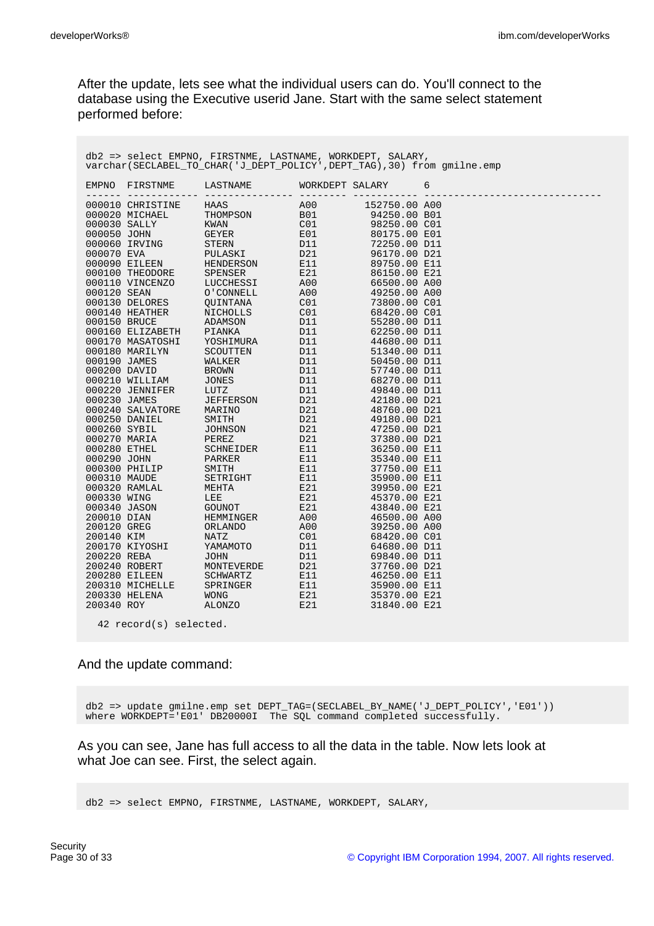After the update, lets see what the individual users can do. You'll connect to the database using the Executive userid Jane. Start with the same select statement performed before:

| EMPNO | FIRSTNME LASTNAME WORKDEPT SALARY<br>------------- ---------------- ------- -- |  | 6 |
|-------|--------------------------------------------------------------------------------|--|---|
|       |                                                                                |  |   |
|       |                                                                                |  |   |
|       |                                                                                |  |   |
|       |                                                                                |  |   |
|       |                                                                                |  |   |
|       |                                                                                |  |   |
|       |                                                                                |  |   |
|       |                                                                                |  |   |
|       |                                                                                |  |   |
|       |                                                                                |  |   |
|       |                                                                                |  |   |
|       |                                                                                |  |   |
|       |                                                                                |  |   |
|       |                                                                                |  |   |
|       |                                                                                |  |   |
|       |                                                                                |  |   |
|       |                                                                                |  |   |
|       |                                                                                |  |   |
|       |                                                                                |  |   |
|       |                                                                                |  |   |
|       |                                                                                |  |   |
|       |                                                                                |  |   |
|       |                                                                                |  |   |
|       |                                                                                |  |   |
|       |                                                                                |  |   |
|       |                                                                                |  |   |
|       |                                                                                |  |   |
|       |                                                                                |  |   |
|       |                                                                                |  |   |
|       |                                                                                |  |   |
|       |                                                                                |  |   |
|       |                                                                                |  |   |
|       |                                                                                |  |   |
|       |                                                                                |  |   |
|       |                                                                                |  |   |
|       |                                                                                |  |   |
|       |                                                                                |  |   |
|       |                                                                                |  |   |
|       |                                                                                |  |   |
|       |                                                                                |  |   |
|       |                                                                                |  |   |
|       |                                                                                |  |   |

#### And the update command:

db2 => update gmilne.emp set DEPT\_TAG=(SECLABEL\_BY\_NAME('J\_DEPT\_POLICY','E01')) where WORKDEPT='E01' DB20000I The SQL command completed successfully.

As you can see, Jane has full access to all the data in the table. Now lets look at what Joe can see. First, the select again.

db2 => select EMPNO, FIRSTNME, LASTNAME, WORKDEPT, SALARY,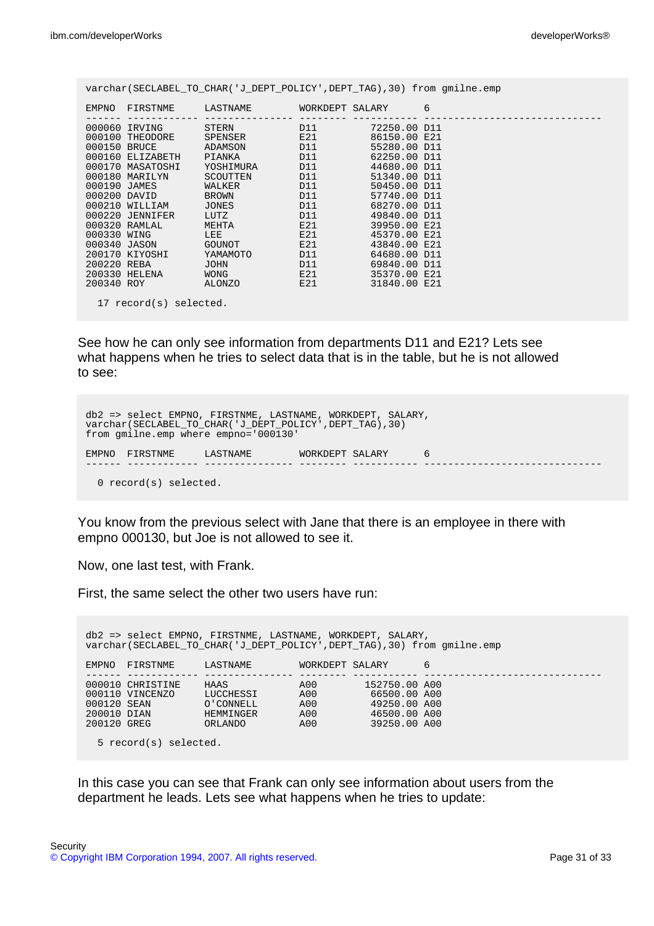| varchar(SECLABEL TO CHAR('J DEPT POLICY', DEPT TAG), 30) from qmilne.emp |                  |                                                                    |     |              |  |  |
|--------------------------------------------------------------------------|------------------|--------------------------------------------------------------------|-----|--------------|--|--|
|                                                                          |                  | EMPNO FIRSTNME LASTNAME WORKDEPT SALARY 6                          |     |              |  |  |
|                                                                          |                  | 000060 IRVING STERN D11 72250.00 D11                               |     |              |  |  |
|                                                                          |                  | 000100 THEODORE SPENSER E21 86150.00 E21                           |     |              |  |  |
|                                                                          |                  | 000150 BRUCE ADAMSON D11 55280.00 D11                              |     |              |  |  |
|                                                                          |                  | 000160 ELIZABETH PIANKA D11                                        |     | 62250.00 D11 |  |  |
|                                                                          |                  | 000170 MASATOSHI YOSHIMURA D11 44680.00 D11                        |     |              |  |  |
|                                                                          | 000180 MARILYN   | SCOUTTEN D11                                                       |     | 51340.00 D11 |  |  |
| 000190 JAMES                                                             |                  | WALKER                                                             | D11 | 50450.00 D11 |  |  |
|                                                                          | 000200 DAVID     | BROWN D11                                                          |     | 57740.00 D11 |  |  |
|                                                                          | 000210 WILLIAM   | JONES AND RESIDENCE AND RESPONDENTLY                               | D11 | 68270.00 D11 |  |  |
|                                                                          | 000220 JENNIFER  | LUTZ D11                                                           |     | 49840.00 D11 |  |  |
|                                                                          | 000320 RAMLAL    | $MEHTA$ $E21$                                                      |     | 39950.00 E21 |  |  |
|                                                                          | 000330 WING 2007 |                                                                    | E21 | 45370.00 E21 |  |  |
|                                                                          | 000340 JASON     | GOUNOT E21                                                         |     | 43840.00 E21 |  |  |
|                                                                          | 200170 KIYOSHI   | YAMAMOTO D11                                                       |     | 64680.00 D11 |  |  |
|                                                                          | 200220 REBA      | D11<br>JOHN                                                        |     | 69840.00 D11 |  |  |
|                                                                          | 200330 HELENA    | $WONG$ $E21$                                                       |     | 35370.00 E21 |  |  |
|                                                                          |                  | 200340 ROY           ALONZO             E21           31840.00 E21 |     |              |  |  |
| 17 record(s) selected.                                                   |                  |                                                                    |     |              |  |  |

See how he can only see information from departments D11 and E21? Lets see what happens when he tries to select data that is in the table, but he is not allowed to see:

```
db2 => select EMPNO, FIRSTNME, LASTNAME, WORKDEPT, SALARY,
varchar(SECLABEL_TO_CHAR('J_DEPT_POLICY',DEPT_TAG),30)
from gmilne.emp where empno='000130'
EMPNO FIRSTNME LASTNAME WORKDEPT SALARY 6
                            ------ ------------ --------------- -------- ----------- ------------------------------
  0 record(s) selected.
```
You know from the previous select with Jane that there is an employee in there with empno 000130, but Joe is not allowed to see it.

Now, one last test, with Frank.

First, the same select the other two users have run:

| db2 => select EMPNO, FIRSTNME, LASTNAME, WORKDEPT, SALARY,<br>varchar (SECLABEL TO CHAR ('J DEPT POLICY', DEPT TAG), 30) from qmilne.emp |                                     |                                                        |                                 |                                                                               |   |  |  |
|------------------------------------------------------------------------------------------------------------------------------------------|-------------------------------------|--------------------------------------------------------|---------------------------------|-------------------------------------------------------------------------------|---|--|--|
| <b>EMPNO</b>                                                                                                                             | FIRSTNME                            | LASTNAME                                               | WORKDEPT SALARY                 |                                                                               | 6 |  |  |
| 000120 SEAN<br>200010 DIAN<br>200120 GREG                                                                                                | 000010 CHRISTINE<br>000110 VINCENZO | HAAS<br>LUCCHESSI<br>O'CONNELL<br>HEMMINGER<br>ORLANDO | A00<br>A00<br>A00<br>A00<br>A00 | 152750.00 A00<br>66500.00 A00<br>49250.00 A00<br>46500.00 A00<br>39250.00 A00 |   |  |  |
| 5 record(s) selected.                                                                                                                    |                                     |                                                        |                                 |                                                                               |   |  |  |

In this case you can see that Frank can only see information about users from the department he leads. Lets see what happens when he tries to update: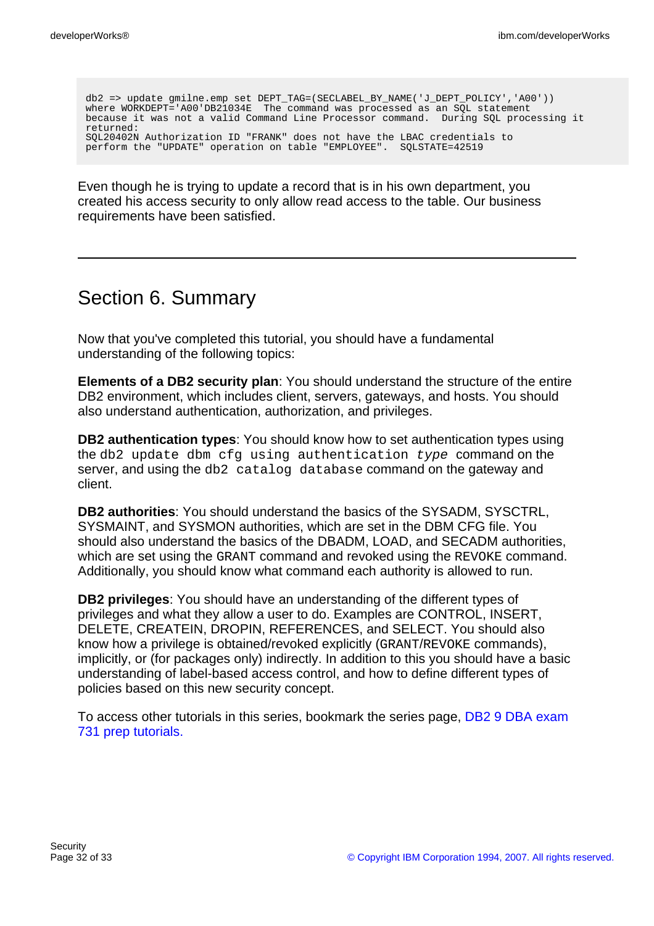db2 => update gmilne.emp set DEPT\_TAG=(SECLABEL\_BY\_NAME('J\_DEPT\_POLICY','A00')) where WORKDEPT='A00'DB21034E The command was processed as an SOL statement because it was not a valid Command Line Processor command. During SQL processing it returned: SQL20402N Authorization ID "FRANK" does not have the LBAC credentials to perform the "UPDATE" operation on table "EMPLOYEE". SQLSTATE=42519

Even though he is trying to update a record that is in his own department, you created his access security to only allow read access to the table. Our business requirements have been satisfied.

# Section 6. Summary

Now that you've completed this tutorial, you should have a fundamental understanding of the following topics:

**Elements of a DB2 security plan**: You should understand the structure of the entire DB2 environment, which includes client, servers, gateways, and hosts. You should also understand authentication, authorization, and privileges.

**DB2 authentication types**: You should know how to set authentication types using the db2 update dbm cfg using authentication type command on the server, and using the db2 catalog database command on the gateway and client.

**DB2 authorities**: You should understand the basics of the SYSADM, SYSCTRL, SYSMAINT, and SYSMON authorities, which are set in the DBM CFG file. You should also understand the basics of the DBADM, LOAD, and SECADM authorities, which are set using the GRANT command and revoked using the REVOKE command. Additionally, you should know what command each authority is allowed to run.

**DB2 privileges**: You should have an understanding of the different types of privileges and what they allow a user to do. Examples are CONTROL, INSERT, DELETE, CREATEIN, DROPIN, REFERENCES, and SELECT. You should also know how a privilege is obtained/revoked explicitly (GRANT/REVOKE commands), implicitly, or (for packages only) indirectly. In addition to this you should have a basic understanding of label-based access control, and how to define different types of policies based on this new security concept.

To access other tutorials in this series, bookmark the series page, [DB2 9 DBA exam](http://www.ibm.com/developerworks/offers/lp/db2cert/db2-cert730.html) [731 prep tutorials.](http://www.ibm.com/developerworks/offers/lp/db2cert/db2-cert730.html)